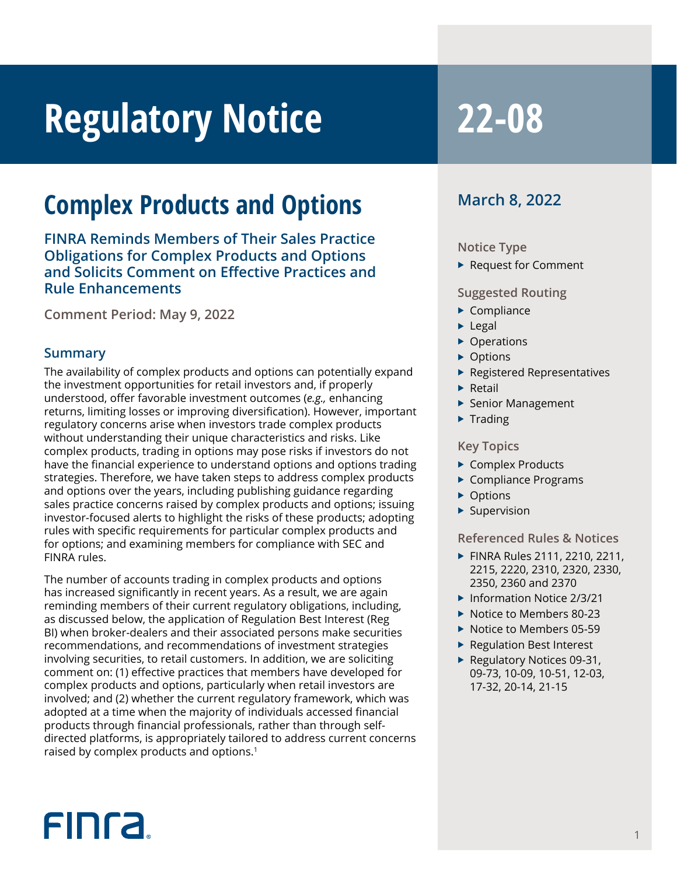# **Regulatory Notice 22-08**

### **Complex Products and Options**

**FINRA Reminds Members of Their Sales Practice Obligations for Complex Products and Options and Solicits Comment on Effective Practices and Rule Enhancements** 

**Comment Period: May 9, 2022**

#### **Summary**

The availability of complex products and options can potentially expand the investment opportunities for retail investors and, if properly understood, offer favorable investment outcomes (*e.g.,* enhancing returns, limiting losses or improving diversification). However, important regulatory concerns arise when investors trade complex products without understanding their unique characteristics and risks. Like complex products, trading in options may pose risks if investors do not have the financial experience to understand options and options trading strategies. Therefore, we have taken steps to address complex products and options over the years, including publishing guidance regarding sales practice concerns raised by complex products and options; issuing investor-focused alerts to highlight the risks of these products; adopting rules with specific requirements for particular complex products and for options; and examining members for compliance with SEC and FINRA rules.

The number of accounts trading in complex products and options has increased significantly in recent years. As a result, we are again reminding members of their current regulatory obligations, including, as discussed below, the application of Regulation Best Interest (Reg BI) when broker-dealers and their associated persons make securities recommendations, and recommendations of investment strategies involving securities, to retail customers. In addition, we are soliciting comment on: (1) effective practices that members have developed for complex products and options, particularly when retail investors are involved; and (2) whether the current regulatory framework, which was adopted at a time when the majority of individuals accessed financial products through financial professionals, rather than through selfdirected platforms, is appropriately tailored to address current concerns raised by complex products and options.<sup>1</sup>

### **March 8, 2022**

#### **Notice Type**

 $\blacktriangleright$  Request for Comment

#### **Suggested Routing**

- $\blacktriangleright$  Compliance
- $\blacktriangleright$  Legal
- $\triangleright$  Operations
- $\triangleright$  Options
- $\blacktriangleright$  Registered Representatives
- $\blacktriangleright$  Retail
- $\blacktriangleright$  Senior Management
- $\blacktriangleright$  Trading

#### **Key Topics**

- $\triangleright$  Complex Products
- $\blacktriangleright$  Compliance Programs
- $\triangleright$  Options
- $\blacktriangleright$  Supervision

#### **Referenced Rules & Notices**

- ▶ FINRA Rules 2111, 2210, 2211, 2215, 2220, 2310, 2320, 2330, 2350, 2360 and 2370
- ▶ Information Notice 2/3/21
- $\blacktriangleright$  Notice to Members 80-23
- $\blacktriangleright$  Notice to Members 05-59
- $\blacktriangleright$  Regulation Best Interest
- $\blacktriangleright$  Regulatory Notices 09-31, 09-73, 10-09, 10-51, 12-03, 17-32, 20-14, 21-15

## FIN<sub>ra</sub>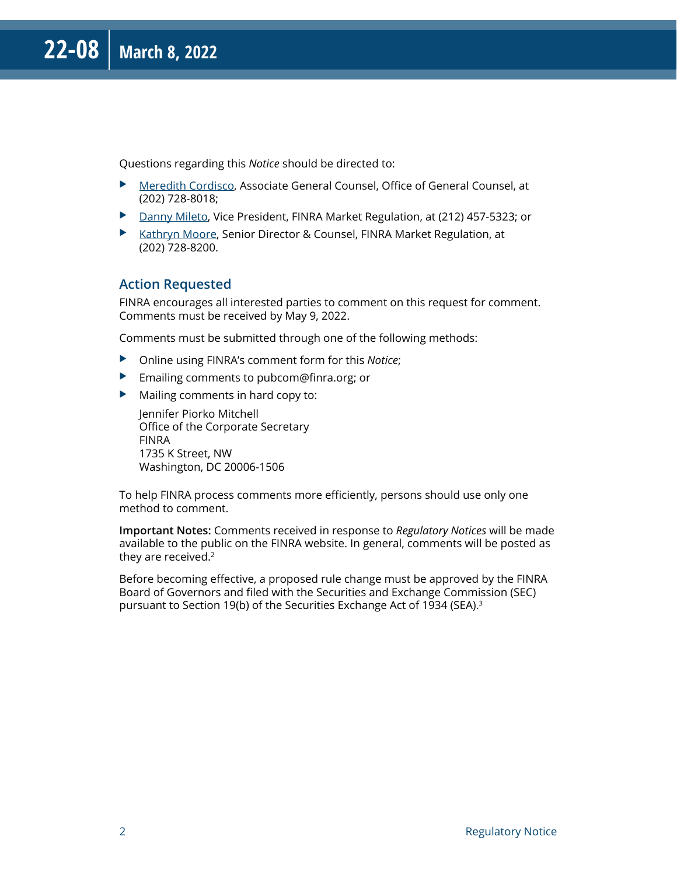Questions regarding this *Notice* should be directed to:

- X [Meredith Cordisco,](mailto:Meredith.Cordisco@finra.org) Associate General Counsel, Office of General Counsel, at (202) 728-8018;
- ▶ [Danny Mileto,](mailto:Danny.Mileto@finra.org) Vice President, FINRA Market Regulation, at (212) 457-5323; or
- ▶ [Kathryn Moore,](mailto:Kathryn.Moore@finra.org) Senior Director & Counsel, FINRA Market Regulation, at (202) 728-8200.

#### **Action Requested**

FINRA encourages all interested parties to comment on this request for comment. Comments must be received by May 9, 2022.

Comments must be submitted through one of the following methods:

- ▶ Online using FINRA's comment form for this *Notice*;
- $\blacktriangleright$  Emailing comments to pubcom@finra.org; or
- $\blacktriangleright$  Mailing comments in hard copy to:

Jennifer Piorko Mitchell Office of the Corporate Secretary FINRA 1735 K Street, NW Washington, DC 20006-1506

To help FINRA process comments more efficiently, persons should use only one method to comment.

**Important Notes:** Comments received in response to *Regulatory Notices* will be made available to the public on the FINRA website. In general, comments will be posted as they are received.2

Before becoming effective, a proposed rule change must be approved by the FINRA Board of Governors and filed with the Securities and Exchange Commission (SEC) pursuant to Section 19(b) of the Securities Exchange Act of 1934 (SEA).3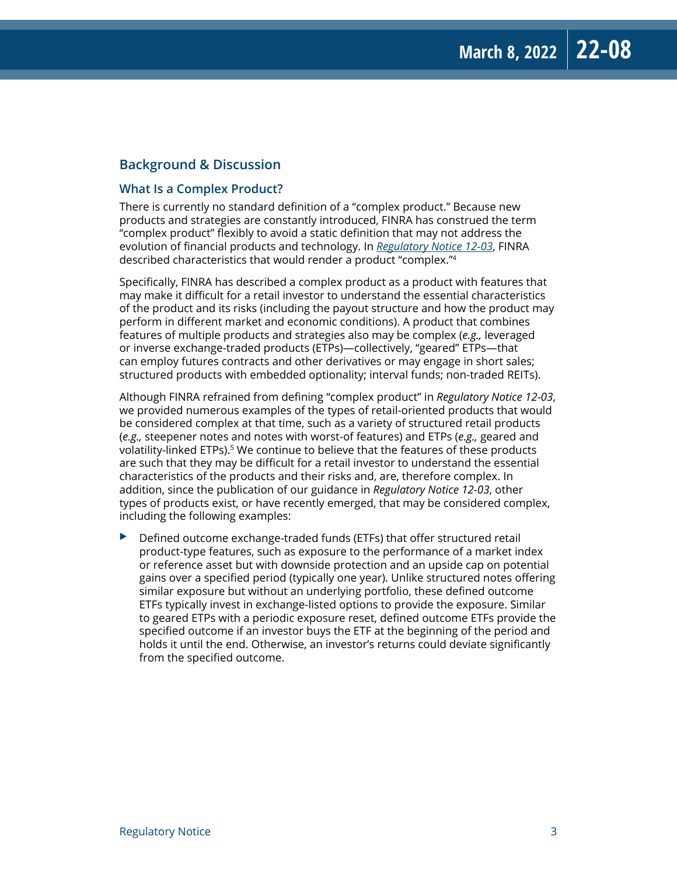#### **Background & Discussion**

#### **What Is a Complex Product?**

There is currently no standard definition of a "complex product." Because new products and strategies are constantly introduced, FINRA has construed the term "complex product" flexibly to avoid a static definition that may not address the evolution of financial products and technology. In *[Regulatory Notice 12-03](https://www.finra.org/rules-guidance/notices/12-03)*, FINRA described characteristics that would render a product "complex."4

Specifically, FINRA has described a complex product as a product with features that may make it difficult for a retail investor to understand the essential characteristics of the product and its risks (including the payout structure and how the product may perform in different market and economic conditions). A product that combines features of multiple products and strategies also may be complex (*e.g.,* leveraged or inverse exchange-traded products (ETPs)—collectively, "geared" ETPs—that can employ futures contracts and other derivatives or may engage in short sales; structured products with embedded optionality; interval funds; non-traded REITs).

Although FINRA refrained from defining "complex product" in *Regulatory Notice 12-03*, we provided numerous examples of the types of retail-oriented products that would be considered complex at that time, such as a variety of structured retail products (*e.g.,* steepener notes and notes with worst-of features) and ETPs (*e.g.,* geared and volatility-linked ETPs).<sup>5</sup> We continue to believe that the features of these products are such that they may be difficult for a retail investor to understand the essential characteristics of the products and their risks and, are, therefore complex. In addition, since the publication of our guidance in *Regulatory Notice 12-03*, other types of products exist, or have recently emerged, that may be considered complex, including the following examples:

 $\blacktriangleright$  Defined outcome exchange-traded funds (ETFs) that offer structured retail product-type features, such as exposure to the performance of a market index or reference asset but with downside protection and an upside cap on potential gains over a specified period (typically one year). Unlike structured notes offering similar exposure but without an underlying portfolio, these defined outcome ETFs typically invest in exchange-listed options to provide the exposure. Similar to geared ETPs with a periodic exposure reset, defined outcome ETFs provide the specified outcome if an investor buys the ETF at the beginning of the period and holds it until the end. Otherwise, an investor's returns could deviate significantly from the specified outcome.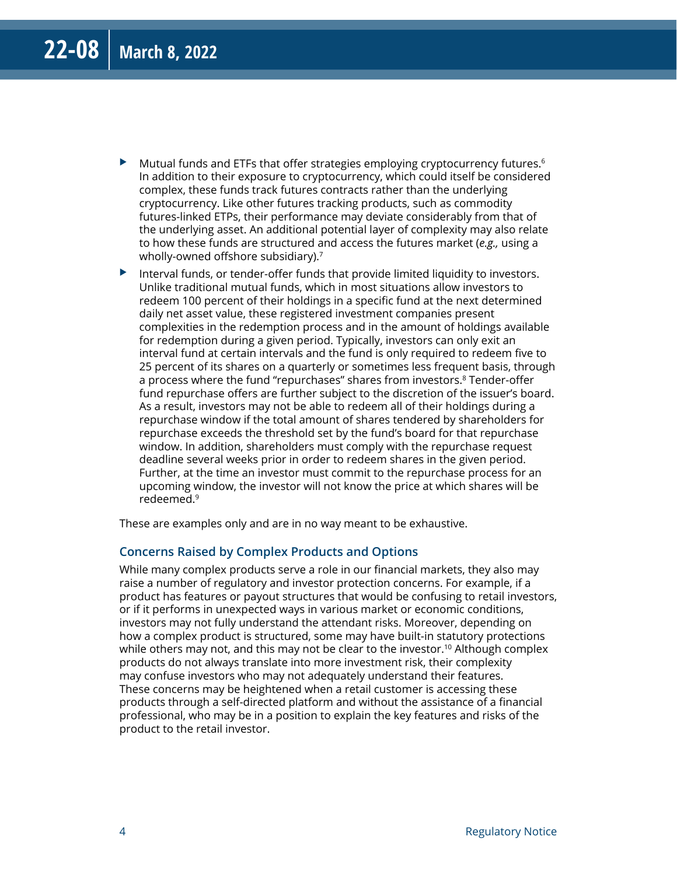- $\blacktriangleright$  Mutual funds and ETFs that offer strategies employing cryptocurrency futures.<sup>6</sup> In addition to their exposure to cryptocurrency, which could itself be considered complex, these funds track futures contracts rather than the underlying cryptocurrency. Like other futures tracking products, such as commodity futures-linked ETPs, their performance may deviate considerably from that of the underlying asset. An additional potential layer of complexity may also relate to how these funds are structured and access the futures market (*e.g.,* using a wholly-owned offshore subsidiary).<sup>7</sup>
- $\blacktriangleright$  Interval funds, or tender-offer funds that provide limited liquidity to investors. Unlike traditional mutual funds, which in most situations allow investors to redeem 100 percent of their holdings in a specific fund at the next determined daily net asset value, these registered investment companies present complexities in the redemption process and in the amount of holdings available for redemption during a given period. Typically, investors can only exit an interval fund at certain intervals and the fund is only required to redeem five to 25 percent of its shares on a quarterly or sometimes less frequent basis, through a process where the fund "repurchases" shares from investors.<sup>8</sup> Tender-offer fund repurchase offers are further subject to the discretion of the issuer's board. As a result, investors may not be able to redeem all of their holdings during a repurchase window if the total amount of shares tendered by shareholders for repurchase exceeds the threshold set by the fund's board for that repurchase window. In addition, shareholders must comply with the repurchase request deadline several weeks prior in order to redeem shares in the given period. Further, at the time an investor must commit to the repurchase process for an upcoming window, the investor will not know the price at which shares will be redeemed.9

These are examples only and are in no way meant to be exhaustive.

#### **Concerns Raised by Complex Products and Options**

While many complex products serve a role in our financial markets, they also may raise a number of regulatory and investor protection concerns. For example, if a product has features or payout structures that would be confusing to retail investors, or if it performs in unexpected ways in various market or economic conditions, investors may not fully understand the attendant risks. Moreover, depending on how a complex product is structured, some may have built-in statutory protections while others may not, and this may not be clear to the investor.<sup>10</sup> Although complex products do not always translate into more investment risk, their complexity may confuse investors who may not adequately understand their features. These concerns may be heightened when a retail customer is accessing these products through a self-directed platform and without the assistance of a financial professional, who may be in a position to explain the key features and risks of the product to the retail investor.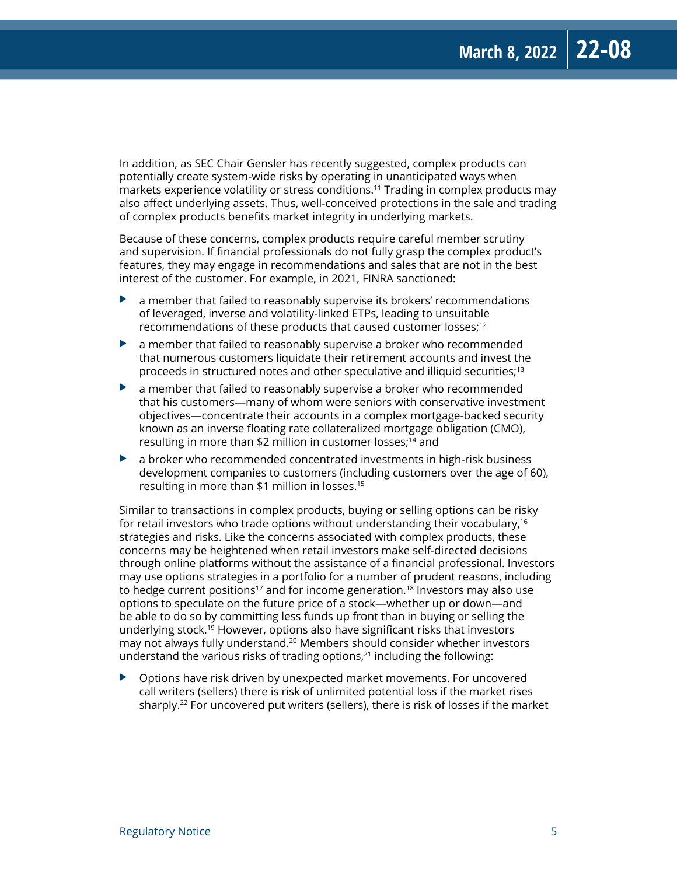In addition, as SEC Chair Gensler has recently suggested, complex products can potentially create system-wide risks by operating in unanticipated ways when markets experience volatility or stress conditions.11 Trading in complex products may also affect underlying assets. Thus, well-conceived protections in the sale and trading of complex products benefits market integrity in underlying markets.

Because of these concerns, complex products require careful member scrutiny and supervision. If financial professionals do not fully grasp the complex product's features, they may engage in recommendations and sales that are not in the best interest of the customer. For example, in 2021, FINRA sanctioned:

- $\blacktriangleright$  a member that failed to reasonably supervise its brokers' recommendations of leveraged, inverse and volatility-linked ETPs, leading to unsuitable recommendations of these products that caused customer losses;<sup>12</sup>
- $\blacktriangleright$  a member that failed to reasonably supervise a broker who recommended that numerous customers liquidate their retirement accounts and invest the proceeds in structured notes and other speculative and illiquid securities;<sup>13</sup>
- $\blacktriangleright$  a member that failed to reasonably supervise a broker who recommended that his customers—many of whom were seniors with conservative investment objectives—concentrate their accounts in a complex mortgage-backed security known as an inverse floating rate collateralized mortgage obligation (CMO), resulting in more than \$2 million in customer losses;<sup>14</sup> and
- $\blacktriangleright$  a broker who recommended concentrated investments in high-risk business development companies to customers (including customers over the age of 60), resulting in more than \$1 million in losses.15

Similar to transactions in complex products, buying or selling options can be risky for retail investors who trade options without understanding their vocabulary,<sup>16</sup> strategies and risks. Like the concerns associated with complex products, these concerns may be heightened when retail investors make self-directed decisions through online platforms without the assistance of a financial professional. Investors may use options strategies in a portfolio for a number of prudent reasons, including to hedge current positions<sup>17</sup> and for income generation.<sup>18</sup> Investors may also use options to speculate on the future price of a stock—whether up or down—and be able to do so by committing less funds up front than in buying or selling the underlying stock.19 However, options also have significant risks that investors may not always fully understand.20 Members should consider whether investors understand the various risks of trading options, $21$  including the following:

 $\triangleright$  Options have risk driven by unexpected market movements. For uncovered call writers (sellers) there is risk of unlimited potential loss if the market rises sharply.<sup>22</sup> For uncovered put writers (sellers), there is risk of losses if the market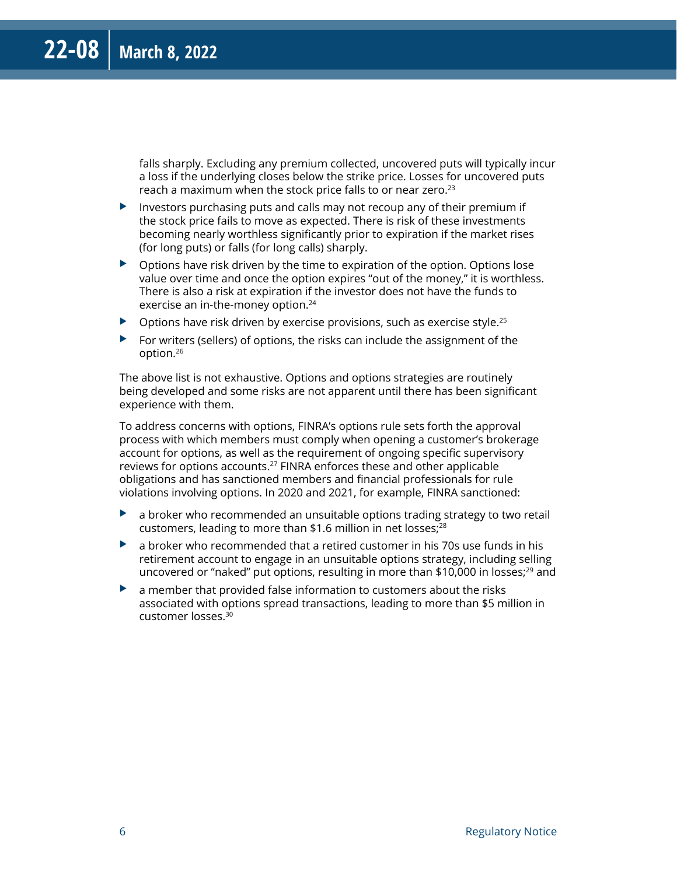falls sharply. Excluding any premium collected, uncovered puts will typically incur a loss if the underlying closes below the strike price. Losses for uncovered puts reach a maximum when the stock price falls to or near zero.<sup>23</sup>

- $\blacktriangleright$  Investors purchasing puts and calls may not recoup any of their premium if the stock price fails to move as expected. There is risk of these investments becoming nearly worthless significantly prior to expiration if the market rises (for long puts) or falls (for long calls) sharply.
- $\triangleright$  Options have risk driven by the time to expiration of the option. Options lose value over time and once the option expires "out of the money," it is worthless. There is also a risk at expiration if the investor does not have the funds to exercise an in-the-money option.<sup>24</sup>
- $\triangleright$  Options have risk driven by exercise provisions, such as exercise style.<sup>25</sup>
- $\blacktriangleright$  For writers (sellers) of options, the risks can include the assignment of the option.26

The above list is not exhaustive. Options and options strategies are routinely being developed and some risks are not apparent until there has been significant experience with them.

To address concerns with options, FINRA's options rule sets forth the approval process with which members must comply when opening a customer's brokerage account for options, as well as the requirement of ongoing specific supervisory reviews for options accounts.<sup>27</sup> FINRA enforces these and other applicable obligations and has sanctioned members and financial professionals for rule violations involving options. In 2020 and 2021, for example, FINRA sanctioned:

- $\blacktriangleright$  a broker who recommended an unsuitable options trading strategy to two retail customers, leading to more than \$1.6 million in net losses;<sup>28</sup>
- $\blacktriangleright$  a broker who recommended that a retired customer in his 70s use funds in his retirement account to engage in an unsuitable options strategy, including selling uncovered or "naked" put options, resulting in more than \$10,000 in losses; $^{29}$  and
- $\blacktriangleright$  a member that provided false information to customers about the risks associated with options spread transactions, leading to more than \$5 million in customer losses.30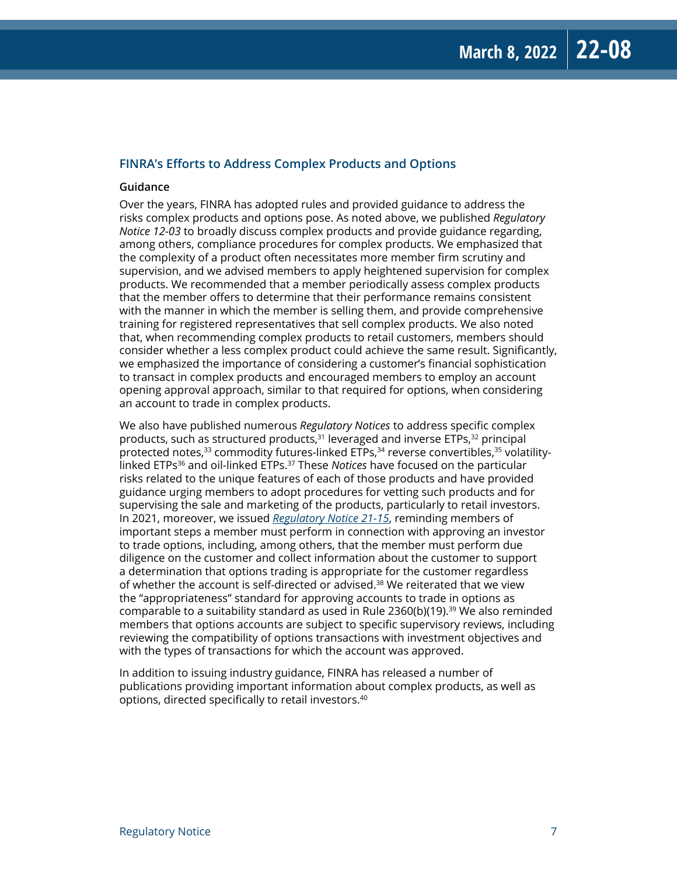#### **FINRA's Efforts to Address Complex Products and Options**

#### **Guidance**

Over the years, FINRA has adopted rules and provided guidance to address the risks complex products and options pose. As noted above, we published *Regulatory Notice 12-03* to broadly discuss complex products and provide guidance regarding, among others, compliance procedures for complex products. We emphasized that the complexity of a product often necessitates more member firm scrutiny and supervision, and we advised members to apply heightened supervision for complex products. We recommended that a member periodically assess complex products that the member offers to determine that their performance remains consistent with the manner in which the member is selling them, and provide comprehensive training for registered representatives that sell complex products. We also noted that, when recommending complex products to retail customers, members should consider whether a less complex product could achieve the same result. Significantly, we emphasized the importance of considering a customer's financial sophistication to transact in complex products and encouraged members to employ an account opening approval approach, similar to that required for options, when considering an account to trade in complex products.

We also have published numerous *Regulatory Notices* to address specific complex products, such as structured products, $31$  leveraged and inverse ETPs, $32$  principal protected notes, $33$  commodity futures-linked ETPs, $34$  reverse convertibles, $35$  volatilitylinked ETPs36 and oil-linked ETPs.37 These *Notices* have focused on the particular risks related to the unique features of each of those products and have provided guidance urging members to adopt procedures for vetting such products and for supervising the sale and marketing of the products, particularly to retail investors. In 2021, moreover, we issued *[Regulatory Notice 21-15](https://www.finra.org/rules-guidance/notices/21-15)*, reminding members of important steps a member must perform in connection with approving an investor to trade options, including, among others, that the member must perform due diligence on the customer and collect information about the customer to support a determination that options trading is appropriate for the customer regardless of whether the account is self-directed or advised.<sup>38</sup> We reiterated that we view the "appropriateness" standard for approving accounts to trade in options as comparable to a suitability standard as used in Rule  $2360(b)(19).$ <sup>39</sup> We also reminded members that options accounts are subject to specific supervisory reviews, including reviewing the compatibility of options transactions with investment objectives and with the types of transactions for which the account was approved.

In addition to issuing industry guidance, FINRA has released a number of publications providing important information about complex products, as well as options, directed specifically to retail investors.40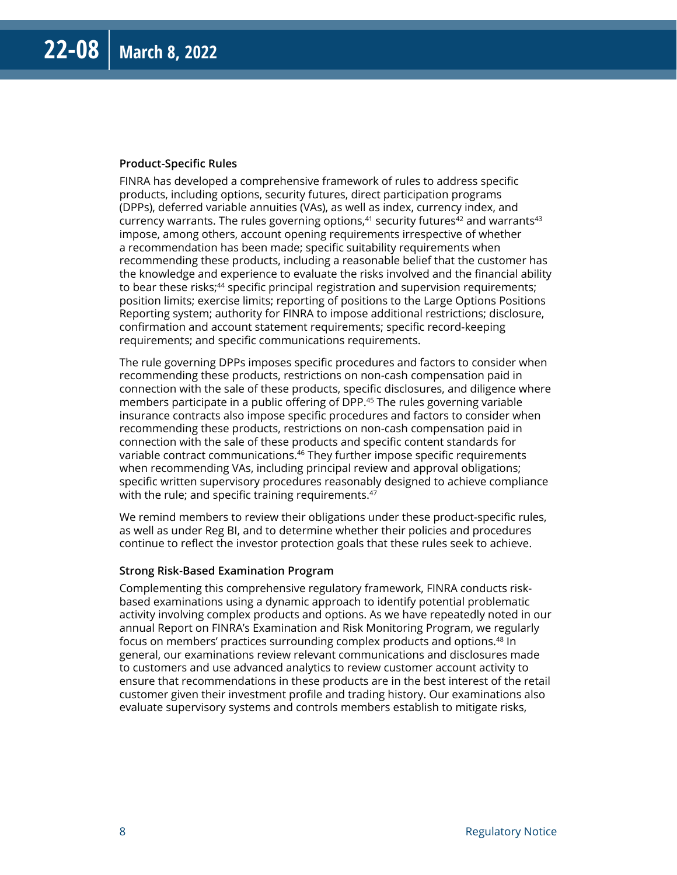#### **Product-Specific Rules**

FINRA has developed a comprehensive framework of rules to address specific products, including options, security futures, direct participation programs (DPPs), deferred variable annuities (VAs), as well as index, currency index, and currency warrants. The rules governing options, $41$  security futures $42$  and warrants $43$ impose, among others, account opening requirements irrespective of whether a recommendation has been made; specific suitability requirements when recommending these products, including a reasonable belief that the customer has the knowledge and experience to evaluate the risks involved and the financial ability to bear these risks;<sup>44</sup> specific principal registration and supervision requirements; position limits; exercise limits; reporting of positions to the Large Options Positions Reporting system; authority for FINRA to impose additional restrictions; disclosure, confirmation and account statement requirements; specific record-keeping requirements; and specific communications requirements.

The rule governing DPPs imposes specific procedures and factors to consider when recommending these products, restrictions on non-cash compensation paid in connection with the sale of these products, specific disclosures, and diligence where members participate in a public offering of DPP.45 The rules governing variable insurance contracts also impose specific procedures and factors to consider when recommending these products, restrictions on non-cash compensation paid in connection with the sale of these products and specific content standards for variable contract communications.<sup>46</sup> They further impose specific requirements when recommending VAs, including principal review and approval obligations; specific written supervisory procedures reasonably designed to achieve compliance with the rule; and specific training requirements.<sup>47</sup>

We remind members to review their obligations under these product-specific rules, as well as under Reg BI, and to determine whether their policies and procedures continue to reflect the investor protection goals that these rules seek to achieve.

#### **Strong Risk-Based Examination Program**

Complementing this comprehensive regulatory framework, FINRA conducts riskbased examinations using a dynamic approach to identify potential problematic activity involving complex products and options. As we have repeatedly noted in our annual Report on FINRA's Examination and Risk Monitoring Program, we regularly focus on members' practices surrounding complex products and options.48 In general, our examinations review relevant communications and disclosures made to customers and use advanced analytics to review customer account activity to ensure that recommendations in these products are in the best interest of the retail customer given their investment profile and trading history. Our examinations also evaluate supervisory systems and controls members establish to mitigate risks,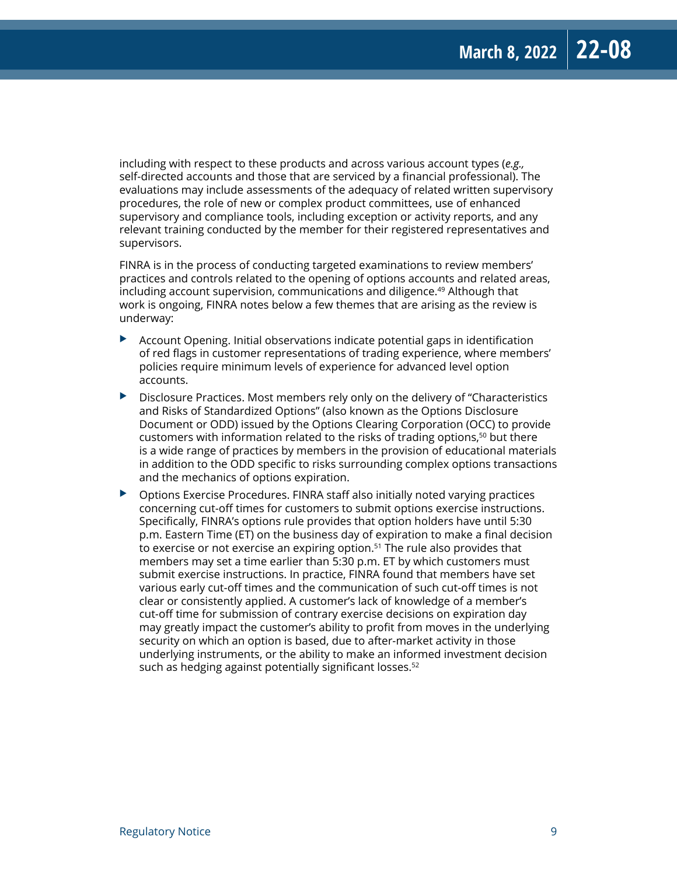including with respect to these products and across various account types (*e.g.,* self-directed accounts and those that are serviced by a financial professional). The evaluations may include assessments of the adequacy of related written supervisory procedures, the role of new or complex product committees, use of enhanced supervisory and compliance tools, including exception or activity reports, and any relevant training conducted by the member for their registered representatives and supervisors.

FINRA is in the process of conducting targeted examinations to review members' practices and controls related to the opening of options accounts and related areas, including account supervision, communications and diligence.<sup>49</sup> Although that work is ongoing, FINRA notes below a few themes that are arising as the review is underway:

- $\blacktriangleright$  Account Opening. Initial observations indicate potential gaps in identification of red flags in customer representations of trading experience, where members' policies require minimum levels of experience for advanced level option accounts.
- $\triangleright$  Disclosure Practices. Most members rely only on the delivery of "Characteristics" and Risks of Standardized Options" (also known as the Options Disclosure Document or ODD) issued by the Options Clearing Corporation (OCC) to provide customers with information related to the risks of trading options,<sup>50</sup> but there is a wide range of practices by members in the provision of educational materials in addition to the ODD specific to risks surrounding complex options transactions and the mechanics of options expiration.
- $\triangleright$  Options Exercise Procedures. FINRA staff also initially noted varying practices concerning cut-off times for customers to submit options exercise instructions. Specifically, FINRA's options rule provides that option holders have until 5:30 p.m. Eastern Time (ET) on the business day of expiration to make a final decision to exercise or not exercise an expiring option.<sup>51</sup> The rule also provides that members may set a time earlier than 5:30 p.m. ET by which customers must submit exercise instructions. In practice, FINRA found that members have set various early cut-off times and the communication of such cut-off times is not clear or consistently applied. A customer's lack of knowledge of a member's cut-off time for submission of contrary exercise decisions on expiration day may greatly impact the customer's ability to profit from moves in the underlying security on which an option is based, due to after-market activity in those underlying instruments, or the ability to make an informed investment decision such as hedging against potentially significant losses.<sup>52</sup>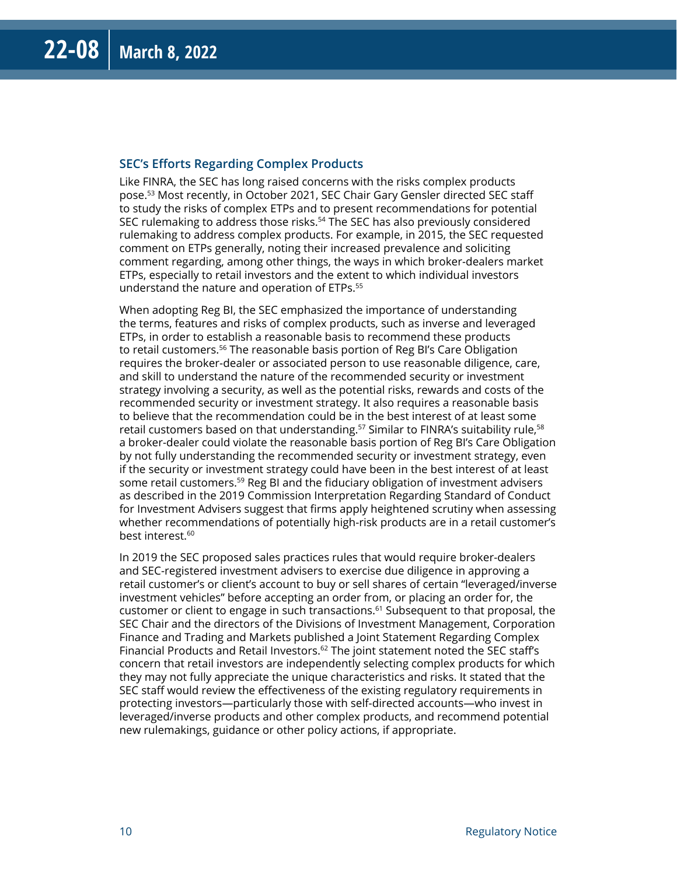#### **SEC's Efforts Regarding Complex Products**

Like FINRA, the SEC has long raised concerns with the risks complex products pose.53 Most recently, in October 2021, SEC Chair Gary Gensler directed SEC staff to study the risks of complex ETPs and to present recommendations for potential SEC rulemaking to address those risks.<sup>54</sup> The SEC has also previously considered rulemaking to address complex products. For example, in 2015, the SEC requested comment on ETPs generally, noting their increased prevalence and soliciting comment regarding, among other things, the ways in which broker-dealers market ETPs, especially to retail investors and the extent to which individual investors understand the nature and operation of ETPs.55

When adopting Reg BI, the SEC emphasized the importance of understanding the terms, features and risks of complex products, such as inverse and leveraged ETPs, in order to establish a reasonable basis to recommend these products to retail customers.<sup>56</sup> The reasonable basis portion of Reg BI's Care Obligation requires the broker-dealer or associated person to use reasonable diligence, care, and skill to understand the nature of the recommended security or investment strategy involving a security, as well as the potential risks, rewards and costs of the recommended security or investment strategy. It also requires a reasonable basis to believe that the recommendation could be in the best interest of at least some retail customers based on that understanding.<sup>57</sup> Similar to FINRA's suitability rule,<sup>58</sup> a broker-dealer could violate the reasonable basis portion of Reg BI's Care Obligation by not fully understanding the recommended security or investment strategy, even if the security or investment strategy could have been in the best interest of at least some retail customers.<sup>59</sup> Reg BI and the fiduciary obligation of investment advisers as described in the 2019 Commission Interpretation Regarding Standard of Conduct for Investment Advisers suggest that firms apply heightened scrutiny when assessing whether recommendations of potentially high-risk products are in a retail customer's best interest.<sup>60</sup>

In 2019 the SEC proposed sales practices rules that would require broker-dealers and SEC-registered investment advisers to exercise due diligence in approving a retail customer's or client's account to buy or sell shares of certain "leveraged/inverse investment vehicles" before accepting an order from, or placing an order for, the customer or client to engage in such transactions.<sup>61</sup> Subsequent to that proposal, the SEC Chair and the directors of the Divisions of Investment Management, Corporation Finance and Trading and Markets published a Joint Statement Regarding Complex Financial Products and Retail Investors. $62$  The joint statement noted the SEC staff's concern that retail investors are independently selecting complex products for which they may not fully appreciate the unique characteristics and risks. It stated that the SEC staff would review the effectiveness of the existing regulatory requirements in protecting investors—particularly those with self-directed accounts—who invest in leveraged/inverse products and other complex products, and recommend potential new rulemakings, guidance or other policy actions, if appropriate.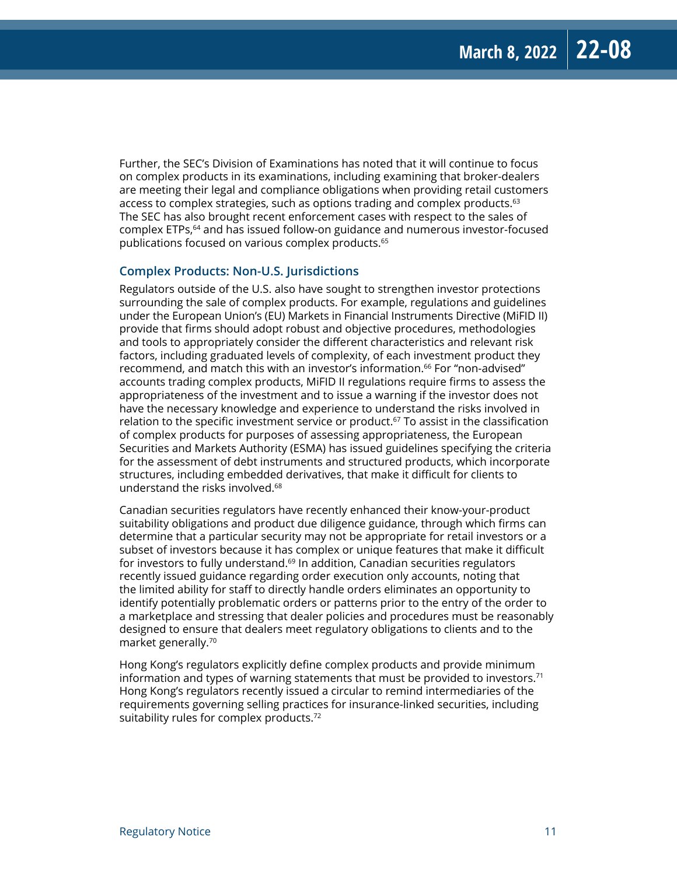Further, the SEC's Division of Examinations has noted that it will continue to focus on complex products in its examinations, including examining that broker-dealers are meeting their legal and compliance obligations when providing retail customers access to complex strategies, such as options trading and complex products.<sup>63</sup> The SEC has also brought recent enforcement cases with respect to the sales of complex ETPs,64 and has issued follow-on guidance and numerous investor-focused publications focused on various complex products.65

#### **Complex Products: Non-U.S. Jurisdictions**

Regulators outside of the U.S. also have sought to strengthen investor protections surrounding the sale of complex products. For example, regulations and guidelines under the European Union's (EU) Markets in Financial Instruments Directive (MiFID II) provide that firms should adopt robust and objective procedures, methodologies and tools to appropriately consider the different characteristics and relevant risk factors, including graduated levels of complexity, of each investment product they recommend, and match this with an investor's information.<sup>66</sup> For "non-advised" accounts trading complex products, MiFID II regulations require firms to assess the appropriateness of the investment and to issue a warning if the investor does not have the necessary knowledge and experience to understand the risks involved in relation to the specific investment service or product.<sup>67</sup> To assist in the classification of complex products for purposes of assessing appropriateness, the European Securities and Markets Authority (ESMA) has issued guidelines specifying the criteria for the assessment of debt instruments and structured products, which incorporate structures, including embedded derivatives, that make it difficult for clients to understand the risks involved.68

Canadian securities regulators have recently enhanced their know-your-product suitability obligations and product due diligence guidance, through which firms can determine that a particular security may not be appropriate for retail investors or a subset of investors because it has complex or unique features that make it difficult for investors to fully understand.<sup>69</sup> In addition, Canadian securities regulators recently issued guidance regarding order execution only accounts, noting that the limited ability for staff to directly handle orders eliminates an opportunity to identify potentially problematic orders or patterns prior to the entry of the order to a marketplace and stressing that dealer policies and procedures must be reasonably designed to ensure that dealers meet regulatory obligations to clients and to the market generally.70

Hong Kong's regulators explicitly define complex products and provide minimum information and types of warning statements that must be provided to investors.<sup>71</sup> Hong Kong's regulators recently issued a circular to remind intermediaries of the requirements governing selling practices for insurance-linked securities, including suitability rules for complex products.<sup>72</sup>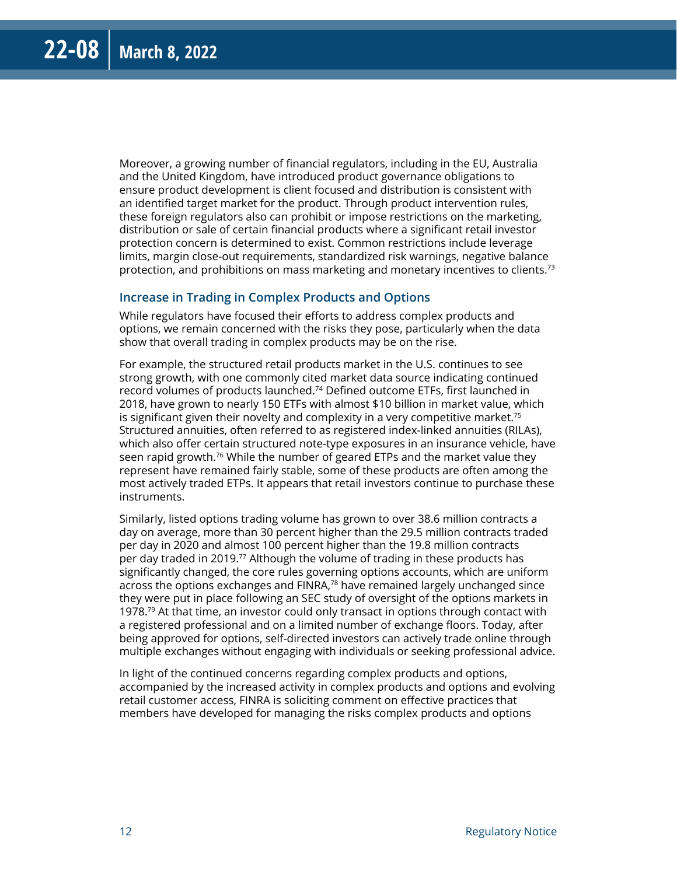Moreover, a growing number of financial regulators, including in the EU, Australia and the United Kingdom, have introduced product governance obligations to ensure product development is client focused and distribution is consistent with an identified target market for the product. Through product intervention rules, these foreign regulators also can prohibit or impose restrictions on the marketing, distribution or sale of certain financial products where a significant retail investor protection concern is determined to exist. Common restrictions include leverage limits, margin close-out requirements, standardized risk warnings, negative balance protection, and prohibitions on mass marketing and monetary incentives to clients.<sup>73</sup>

#### **Increase in Trading in Complex Products and Options**

While regulators have focused their efforts to address complex products and options, we remain concerned with the risks they pose, particularly when the data show that overall trading in complex products may be on the rise.

For example, the structured retail products market in the U.S. continues to see strong growth, with one commonly cited market data source indicating continued record volumes of products launched.74 Defined outcome ETFs, first launched in 2018, have grown to nearly 150 ETFs with almost \$10 billion in market value, which is significant given their novelty and complexity in a very competitive market.<sup>75</sup> Structured annuities, often referred to as registered index-linked annuities (RILAs), which also offer certain structured note-type exposures in an insurance vehicle, have seen rapid growth.76 While the number of geared ETPs and the market value they represent have remained fairly stable, some of these products are often among the most actively traded ETPs. It appears that retail investors continue to purchase these instruments.

Similarly, listed options trading volume has grown to over 38.6 million contracts a day on average, more than 30 percent higher than the 29.5 million contracts traded per day in 2020 and almost 100 percent higher than the 19.8 million contracts per day traded in 2019.77 Although the volume of trading in these products has significantly changed, the core rules governing options accounts, which are uniform across the options exchanges and  $FINRA<sub>78</sub>$  have remained largely unchanged since they were put in place following an SEC study of oversight of the options markets in 1978.<sup>79</sup> At that time, an investor could only transact in options through contact with a registered professional and on a limited number of exchange floors. Today, after being approved for options, self-directed investors can actively trade online through multiple exchanges without engaging with individuals or seeking professional advice.

In light of the continued concerns regarding complex products and options, accompanied by the increased activity in complex products and options and evolving retail customer access, FINRA is soliciting comment on effective practices that members have developed for managing the risks complex products and options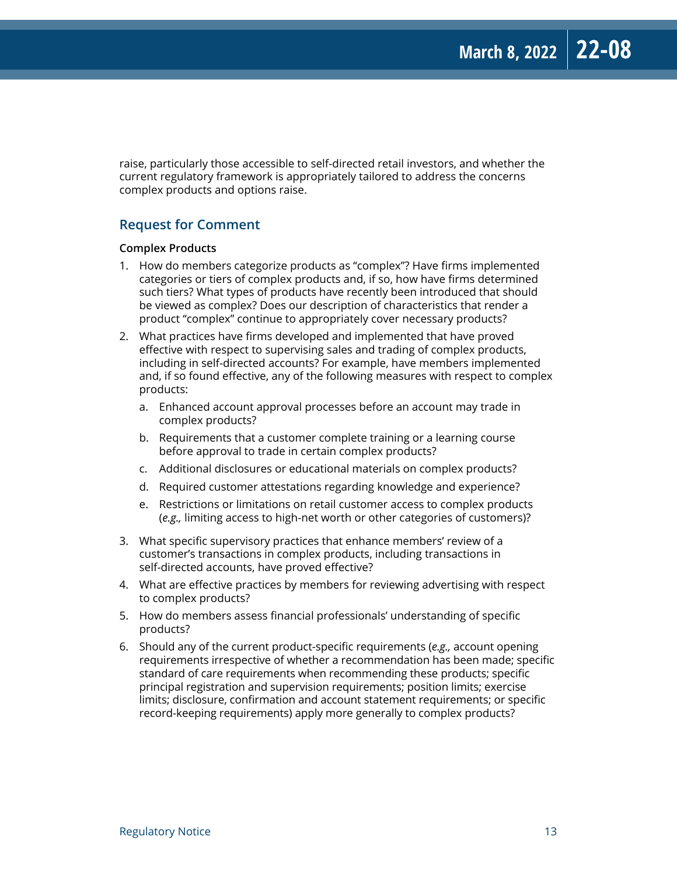raise, particularly those accessible to self-directed retail investors, and whether the current regulatory framework is appropriately tailored to address the concerns complex products and options raise.

#### **Request for Comment**

#### **Complex Products**

- 1. How do members categorize products as "complex"? Have firms implemented categories or tiers of complex products and, if so, how have firms determined such tiers? What types of products have recently been introduced that should be viewed as complex? Does our description of characteristics that render a product "complex" continue to appropriately cover necessary products?
- 2. What practices have firms developed and implemented that have proved effective with respect to supervising sales and trading of complex products, including in self-directed accounts? For example, have members implemented and, if so found effective, any of the following measures with respect to complex products:
	- a. Enhanced account approval processes before an account may trade in complex products?
	- b. Requirements that a customer complete training or a learning course before approval to trade in certain complex products?
	- c. Additional disclosures or educational materials on complex products?
	- d. Required customer attestations regarding knowledge and experience?
	- e. Restrictions or limitations on retail customer access to complex products (*e.g.,* limiting access to high-net worth or other categories of customers)?
- 3. What specific supervisory practices that enhance members' review of a customer's transactions in complex products, including transactions in self-directed accounts, have proved effective?
- 4. What are effective practices by members for reviewing advertising with respect to complex products?
- 5. How do members assess financial professionals' understanding of specific products?
- 6. Should any of the current product-specific requirements (*e.g.,* account opening requirements irrespective of whether a recommendation has been made; specific standard of care requirements when recommending these products; specific principal registration and supervision requirements; position limits; exercise limits; disclosure, confirmation and account statement requirements; or specific record-keeping requirements) apply more generally to complex products?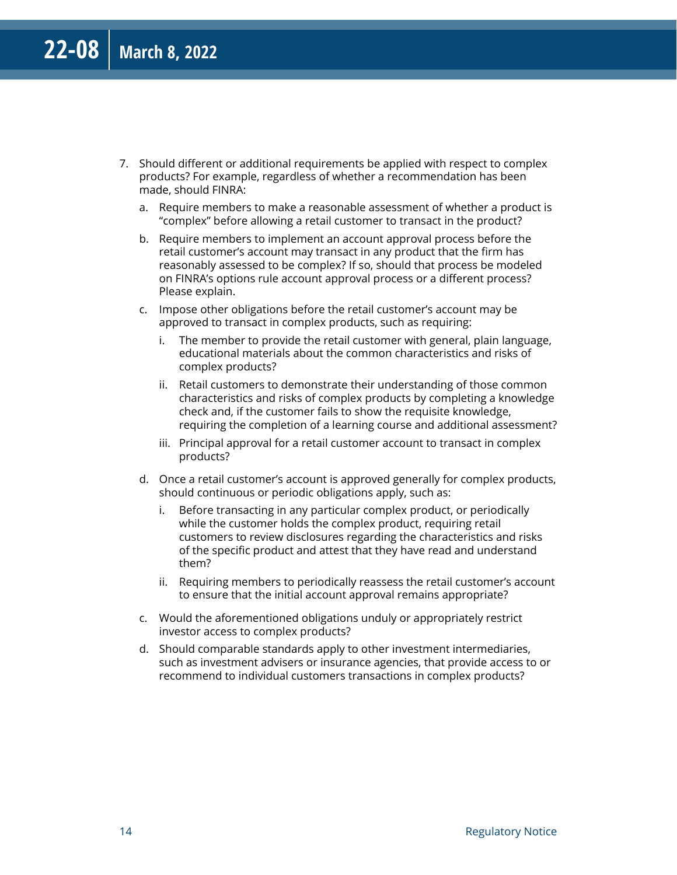- 7. Should different or additional requirements be applied with respect to complex products? For example, regardless of whether a recommendation has been made, should FINRA:
	- a. Require members to make a reasonable assessment of whether a product is "complex" before allowing a retail customer to transact in the product?
	- b. Require members to implement an account approval process before the retail customer's account may transact in any product that the firm has reasonably assessed to be complex? If so, should that process be modeled on FINRA's options rule account approval process or a different process? Please explain.
	- c. Impose other obligations before the retail customer's account may be approved to transact in complex products, such as requiring:
		- i. The member to provide the retail customer with general, plain language, educational materials about the common characteristics and risks of complex products?
		- ii. Retail customers to demonstrate their understanding of those common characteristics and risks of complex products by completing a knowledge check and, if the customer fails to show the requisite knowledge, requiring the completion of a learning course and additional assessment?
		- iii. Principal approval for a retail customer account to transact in complex products?
	- d. Once a retail customer's account is approved generally for complex products, should continuous or periodic obligations apply, such as:
		- i. Before transacting in any particular complex product, or periodically while the customer holds the complex product, requiring retail customers to review disclosures regarding the characteristics and risks of the specific product and attest that they have read and understand them?
		- ii. Requiring members to periodically reassess the retail customer's account to ensure that the initial account approval remains appropriate?
	- c. Would the aforementioned obligations unduly or appropriately restrict investor access to complex products?
	- d. Should comparable standards apply to other investment intermediaries, such as investment advisers or insurance agencies, that provide access to or recommend to individual customers transactions in complex products?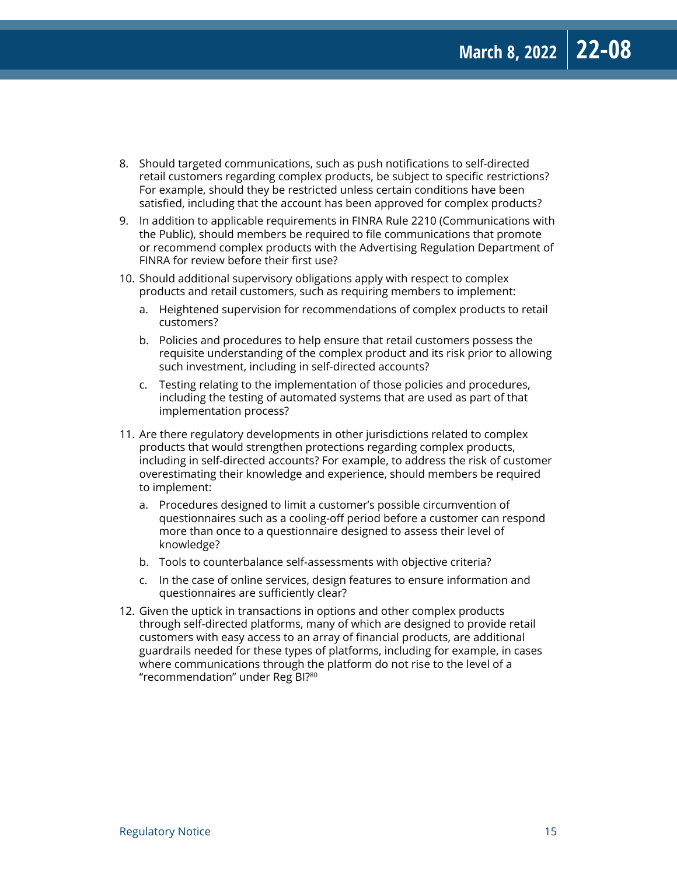- 8. Should targeted communications, such as push notifications to self-directed retail customers regarding complex products, be subject to specific restrictions? For example, should they be restricted unless certain conditions have been satisfied, including that the account has been approved for complex products?
- 9. In addition to applicable requirements in FINRA Rule 2210 (Communications with the Public), should members be required to file communications that promote or recommend complex products with the Advertising Regulation Department of FINRA for review before their first use?
- 10. Should additional supervisory obligations apply with respect to complex products and retail customers, such as requiring members to implement:
	- a. Heightened supervision for recommendations of complex products to retail customers?
	- b. Policies and procedures to help ensure that retail customers possess the requisite understanding of the complex product and its risk prior to allowing such investment, including in self-directed accounts?
	- c. Testing relating to the implementation of those policies and procedures, including the testing of automated systems that are used as part of that implementation process?
- 11. Are there regulatory developments in other jurisdictions related to complex products that would strengthen protections regarding complex products, including in self-directed accounts? For example, to address the risk of customer overestimating their knowledge and experience, should members be required to implement:
	- a. Procedures designed to limit a customer's possible circumvention of questionnaires such as a cooling-off period before a customer can respond more than once to a questionnaire designed to assess their level of knowledge?
	- b. Tools to counterbalance self-assessments with objective criteria?
	- c. In the case of online services, design features to ensure information and questionnaires are sufficiently clear?
- 12. Given the uptick in transactions in options and other complex products through self-directed platforms, many of which are designed to provide retail customers with easy access to an array of financial products, are additional guardrails needed for these types of platforms, including for example, in cases where communications through the platform do not rise to the level of a "recommendation" under Reg BI?80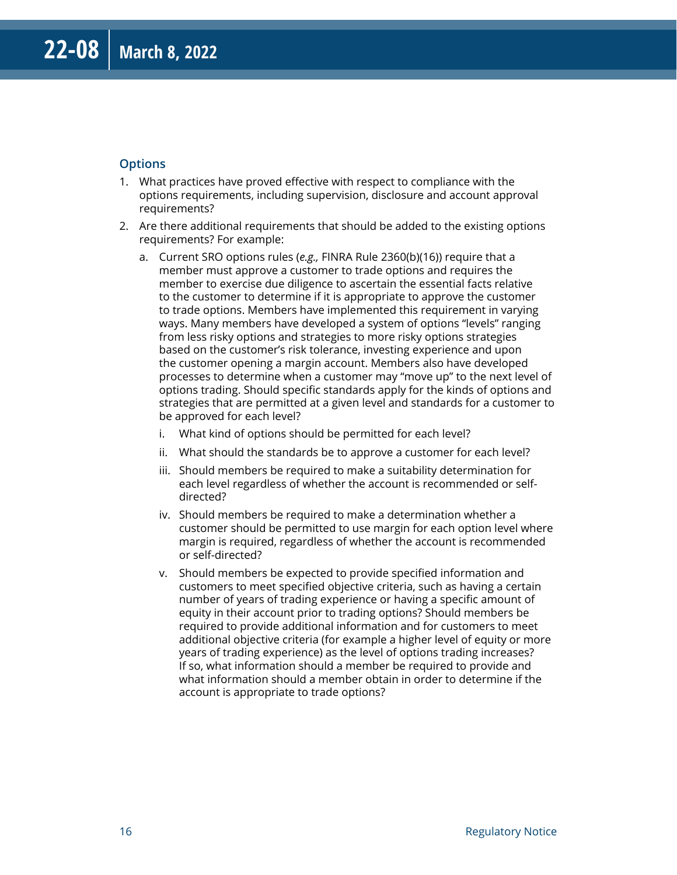#### **Options**

- 1. What practices have proved effective with respect to compliance with the options requirements, including supervision, disclosure and account approval requirements?
- 2. Are there additional requirements that should be added to the existing options requirements? For example:
	- a. Current SRO options rules (*e.g.,* FINRA Rule 2360(b)(16)) require that a member must approve a customer to trade options and requires the member to exercise due diligence to ascertain the essential facts relative to the customer to determine if it is appropriate to approve the customer to trade options. Members have implemented this requirement in varying ways. Many members have developed a system of options "levels" ranging from less risky options and strategies to more risky options strategies based on the customer's risk tolerance, investing experience and upon the customer opening a margin account. Members also have developed processes to determine when a customer may "move up" to the next level of options trading. Should specific standards apply for the kinds of options and strategies that are permitted at a given level and standards for a customer to be approved for each level?
		- i. What kind of options should be permitted for each level?
		- ii. What should the standards be to approve a customer for each level?
		- iii. Should members be required to make a suitability determination for each level regardless of whether the account is recommended or selfdirected?
		- iv. Should members be required to make a determination whether a customer should be permitted to use margin for each option level where margin is required, regardless of whether the account is recommended or self-directed?
		- v. Should members be expected to provide specified information and customers to meet specified objective criteria, such as having a certain number of years of trading experience or having a specific amount of equity in their account prior to trading options? Should members be required to provide additional information and for customers to meet additional objective criteria (for example a higher level of equity or more years of trading experience) as the level of options trading increases? If so, what information should a member be required to provide and what information should a member obtain in order to determine if the account is appropriate to trade options?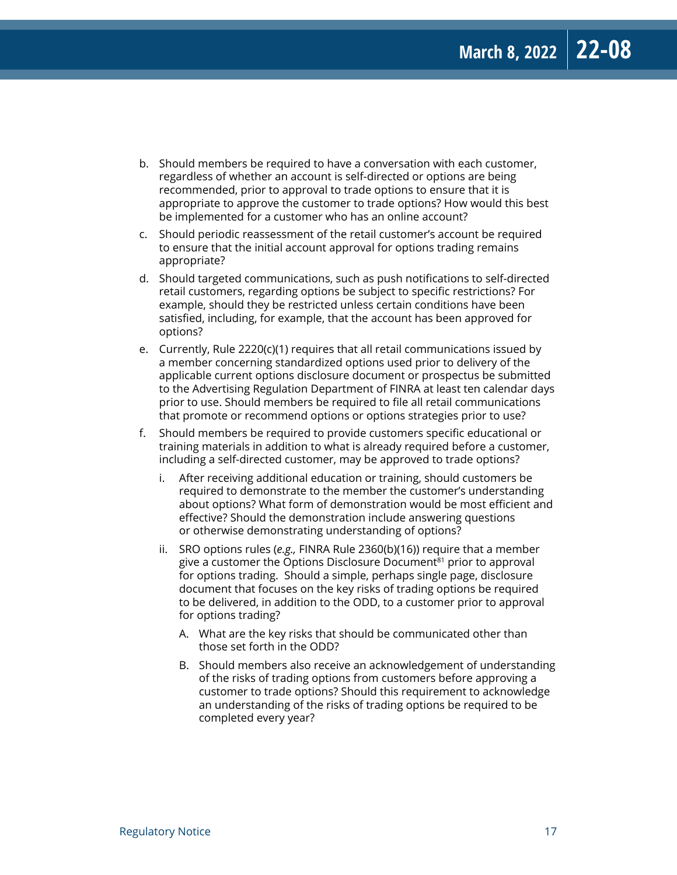- b. Should members be required to have a conversation with each customer, regardless of whether an account is self-directed or options are being recommended, prior to approval to trade options to ensure that it is appropriate to approve the customer to trade options? How would this best be implemented for a customer who has an online account?
- c. Should periodic reassessment of the retail customer's account be required to ensure that the initial account approval for options trading remains appropriate?
- d. Should targeted communications, such as push notifications to self-directed retail customers, regarding options be subject to specific restrictions? For example, should they be restricted unless certain conditions have been satisfied, including, for example, that the account has been approved for options?
- e. Currently, Rule 2220(c)(1) requires that all retail communications issued by a member concerning standardized options used prior to delivery of the applicable current options disclosure document or prospectus be submitted to the Advertising Regulation Department of FINRA at least ten calendar days prior to use. Should members be required to file all retail communications that promote or recommend options or options strategies prior to use?
- f. Should members be required to provide customers specific educational or training materials in addition to what is already required before a customer, including a self-directed customer, may be approved to trade options?
	- i. After receiving additional education or training, should customers be required to demonstrate to the member the customer's understanding about options? What form of demonstration would be most efficient and effective? Should the demonstration include answering questions or otherwise demonstrating understanding of options?
	- ii. SRO options rules (*e.g.,* FINRA Rule 2360(b)(16)) require that a member give a customer the Options Disclosure Document $^{81}$  prior to approval for options trading. Should a simple, perhaps single page, disclosure document that focuses on the key risks of trading options be required to be delivered, in addition to the ODD, to a customer prior to approval for options trading?
		- A. What are the key risks that should be communicated other than those set forth in the ODD?
		- B. Should members also receive an acknowledgement of understanding of the risks of trading options from customers before approving a customer to trade options? Should this requirement to acknowledge an understanding of the risks of trading options be required to be completed every year?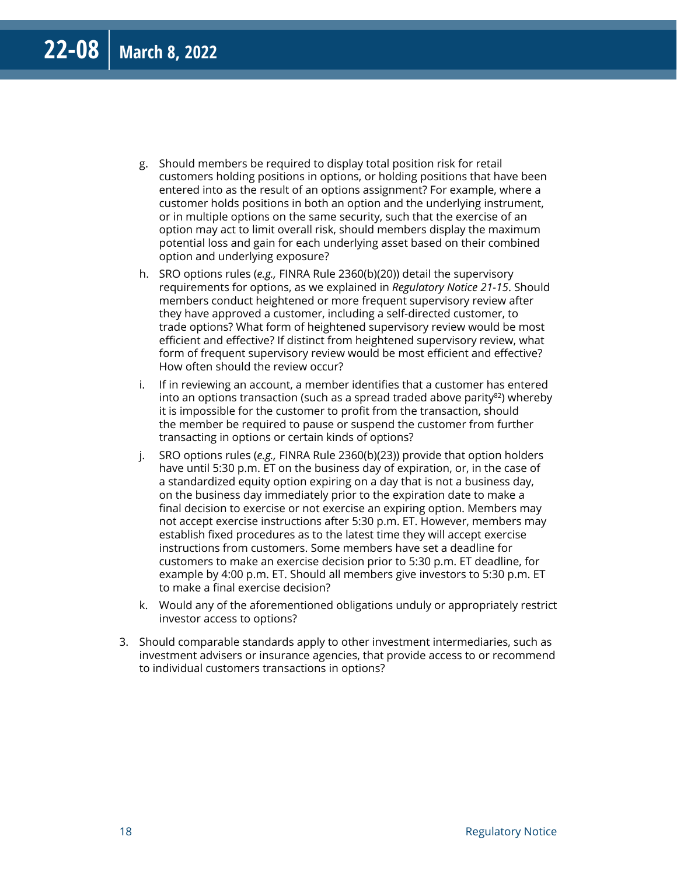- g. Should members be required to display total position risk for retail customers holding positions in options, or holding positions that have been entered into as the result of an options assignment? For example, where a customer holds positions in both an option and the underlying instrument, or in multiple options on the same security, such that the exercise of an option may act to limit overall risk, should members display the maximum potential loss and gain for each underlying asset based on their combined option and underlying exposure?
- h. SRO options rules (*e.g.,* FINRA Rule 2360(b)(20)) detail the supervisory requirements for options, as we explained in *Regulatory Notice 21-15*. Should members conduct heightened or more frequent supervisory review after they have approved a customer, including a self-directed customer, to trade options? What form of heightened supervisory review would be most efficient and effective? If distinct from heightened supervisory review, what form of frequent supervisory review would be most efficient and effective? How often should the review occur?
- i. If in reviewing an account, a member identifies that a customer has entered into an options transaction (such as a spread traded above parity $82$ ) whereby it is impossible for the customer to profit from the transaction, should the member be required to pause or suspend the customer from further transacting in options or certain kinds of options?
- j. SRO options rules (*e.g.,* FINRA Rule 2360(b)(23)) provide that option holders have until 5:30 p.m. ET on the business day of expiration, or, in the case of a standardized equity option expiring on a day that is not a business day, on the business day immediately prior to the expiration date to make a final decision to exercise or not exercise an expiring option. Members may not accept exercise instructions after 5:30 p.m. ET. However, members may establish fixed procedures as to the latest time they will accept exercise instructions from customers. Some members have set a deadline for customers to make an exercise decision prior to 5:30 p.m. ET deadline, for example by 4:00 p.m. ET. Should all members give investors to 5:30 p.m. ET to make a final exercise decision?
- k. Would any of the aforementioned obligations unduly or appropriately restrict investor access to options?
- 3. Should comparable standards apply to other investment intermediaries, such as investment advisers or insurance agencies, that provide access to or recommend to individual customers transactions in options?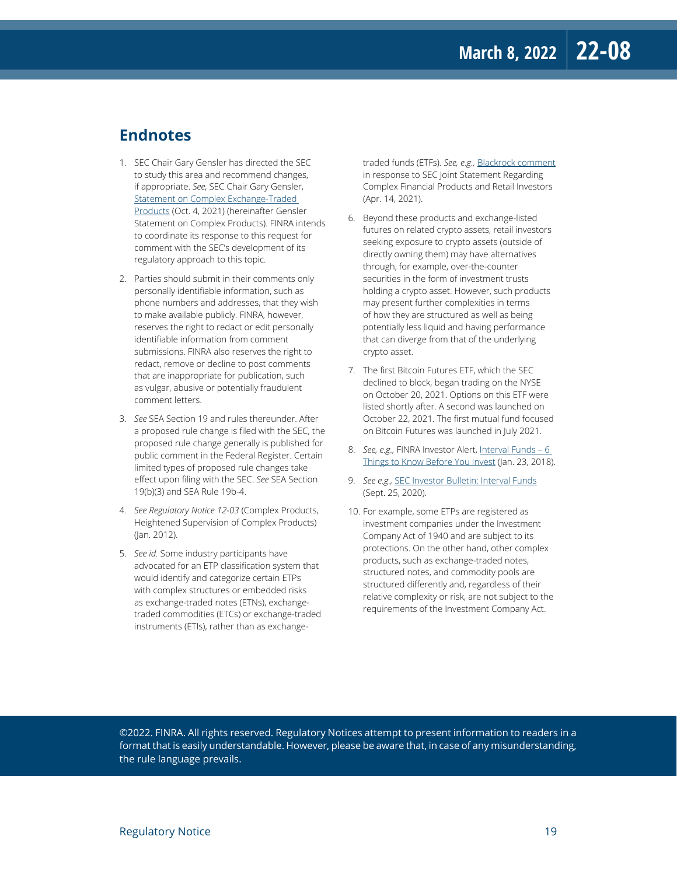#### **Endnotes**

- 1. SEC Chair Gary Gensler has directed the SEC to study this area and recommend changes, if appropriate. *See*, SEC Chair Gary Gensler, [Statement on Complex Exchange-Traded](https://www.sec.gov/news/public-statement/gensler-statement-complex-exchange-traded-products-100421)  [Products](https://www.sec.gov/news/public-statement/gensler-statement-complex-exchange-traded-products-100421) (Oct. 4, 2021) (hereinafter Gensler Statement on Complex Products). FINRA intends to coordinate its response to this request for comment with the SEC's development of its regulatory approach to this topic.
- 2. Parties should submit in their comments only personally identifiable information, such as phone numbers and addresses, that they wish to make available publicly. FINRA, however, reserves the right to redact or edit personally identifiable information from comment submissions. FINRA also reserves the right to redact, remove or decline to post comments that are inappropriate for publication, such as vulgar, abusive or potentially fraudulent comment letters.
- 3. *See* SEA Section 19 and rules thereunder. After a proposed rule change is filed with the SEC, the proposed rule change generally is published for public comment in the Federal Register. Certain limited types of proposed rule changes take effect upon filing with the SEC. *See* SEA Section 19(b)(3) and SEA Rule 19b-4.
- 4. *See Regulatory Notice 12-03* (Complex Products, Heightened Supervision of Complex Products) (Jan. 2012).
- 5. *See id.* Some industry participants have advocated for an ETP classification system that would identify and categorize certain ETPs with complex structures or embedded risks as exchange-traded notes (ETNs), exchangetraded commodities (ETCs) or exchange-traded instruments (ETIs), rather than as exchange-

traded funds (ETFs). *See, e.g.,* [Blackrock comment](https://www.sec.gov/files/BLK_comments_4_14_21_0.pdf) in response to SEC Joint Statement Regarding Complex Financial Products and Retail Investors (Apr. 14, 2021).

- 6. Beyond these products and exchange-listed futures on related crypto assets, retail investors seeking exposure to crypto assets (outside of directly owning them) may have alternatives through, for example, over-the-counter securities in the form of investment trusts holding a crypto asset. However, such products may present further complexities in terms of how they are structured as well as being potentially less liquid and having performance that can diverge from that of the underlying crypto asset.
- 7. The first Bitcoin Futures ETF, which the SEC declined to block, began trading on the NYSE on October 20, 2021. Options on this ETF were listed shortly after. A second was launched on October 22, 2021. The first mutual fund focused on Bitcoin Futures was launched in July 2021.
- 8. *See, e.g.,* FINRA Investor Alert, Interval Funds 6 [Things to Know Before You Invest](https://www.finra.org/investors/insights/interval-funds) (Jan. 23, 2018).
- 9. *See e.g.,* [SEC Investor Bulletin: Interval Funds](https://www.sec.gov/oiea/investor-alerts-and-bulletins/investor-bulletin-interval-funds) (Sept. 25, 2020).
- 10. For example, some ETPs are registered as investment companies under the Investment Company Act of 1940 and are subject to its protections. On the other hand, other complex products, such as exchange-traded notes, structured notes, and commodity pools are structured differently and, regardless of their relative complexity or risk, are not subject to the requirements of the Investment Company Act.

©2022. FINRA. All rights reserved. Regulatory Notices attempt to present information to readers in a format that is easily understandable. However, please be aware that, in case of any misunderstanding, the rule language prevails.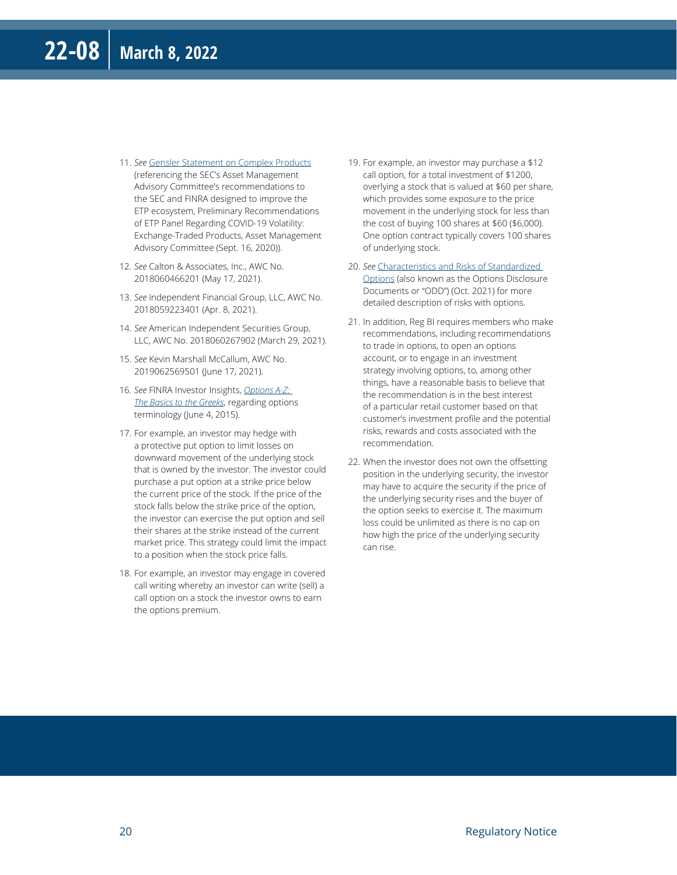- 11. *See* [Gensler Statement on Complex Products](https://www.sec.gov/files/prelim-recommendations-to-amac-on-etps.pdf) (referencing the SEC's Asset Management Advisory Committee's recommendations to the SEC and FINRA designed to improve the ETP ecosystem, Preliminary Recommendations of ETP Panel Regarding COVID-19 Volatility: Exchange-Traded Products, Asset Management Advisory Committee (Sept. 16, 2020)).
- 12. *See* Calton & Associates, Inc., AWC No. 2018060466201 (May 17, 2021).
- 13. *See* Independent Financial Group, LLC, AWC No. 2018059223401 (Apr. 8, 2021).
- 14. *See* American Independent Securities Group, LLC, AWC No. 2018060267902 (March 29, 2021).
- 15. *See* Kevin Marshall McCallum, AWC No. 2019062569501 (June 17, 2021).
- 16. *See* FINRA Investor Insights, *[Options A-Z:](https://www.finra.org/investors/insights/options-z-basics-greeks)  [The Basics to the Greeks](https://www.finra.org/investors/insights/options-z-basics-greeks)*, regarding options terminology (June 4, 2015).
- 17. For example, an investor may hedge with a protective put option to limit losses on downward movement of the underlying stock that is owned by the investor. The investor could purchase a put option at a strike price below the current price of the stock. If the price of the stock falls below the strike price of the option, the investor can exercise the put option and sell their shares at the strike instead of the current market price. This strategy could limit the impact to a position when the stock price falls.
- 18. For example, an investor may engage in covered call writing whereby an investor can write (sell) a call option on a stock the investor owns to earn the options premium.
- 19. For example, an investor may purchase a \$12 call option, for a total investment of \$1200, overlying a stock that is valued at \$60 per share, which provides some exposure to the price movement in the underlying stock for less than the cost of buying 100 shares at \$60 (\$6,000). One option contract typically covers 100 shares of underlying stock.
- 20. *See* [Characteristics and Risks of Standardized](https://www.theocc.com/getmedia/a151a9ae-d784-4a15-bdeb-23a029f50b70/riskstoc.pdf)  [Options](https://www.theocc.com/getmedia/a151a9ae-d784-4a15-bdeb-23a029f50b70/riskstoc.pdf) (also known as the Options Disclosure Documents or "ODD") (Oct. 2021) for more detailed description of risks with options.
- 21. In addition, Reg BI requires members who make recommendations, including recommendations to trade in options, to open an options account, or to engage in an investment strategy involving options, to, among other things, have a reasonable basis to believe that the recommendation is in the best interest of a particular retail customer based on that customer's investment profile and the potential risks, rewards and costs associated with the recommendation.
- 22. When the investor does not own the offsetting position in the underlying security, the investor may have to acquire the security if the price of the underlying security rises and the buyer of the option seeks to exercise it. The maximum loss could be unlimited as there is no cap on how high the price of the underlying security can rise.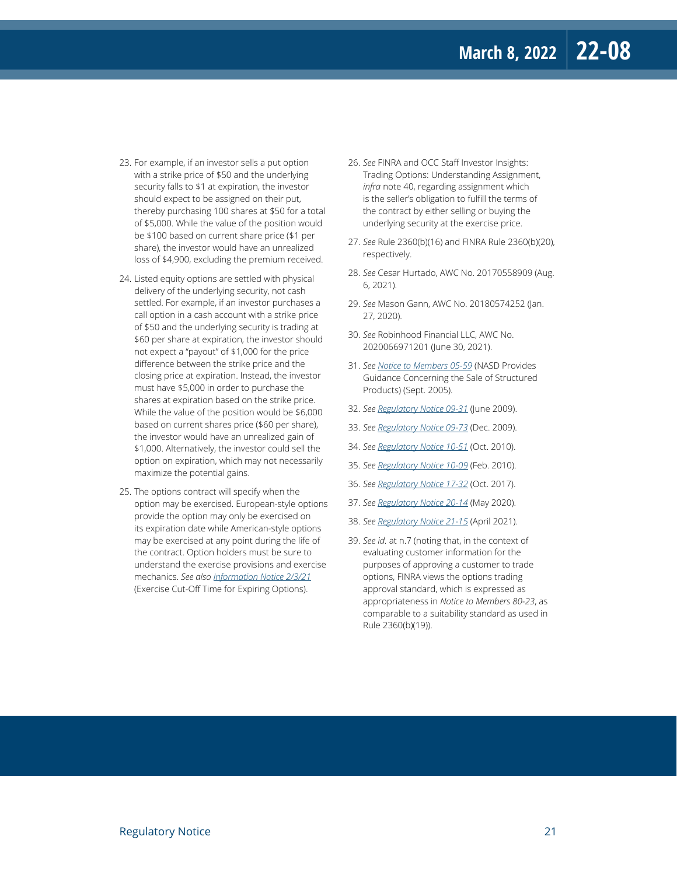- 23. For example, if an investor sells a put option with a strike price of \$50 and the underlying security falls to \$1 at expiration, the investor should expect to be assigned on their put, thereby purchasing 100 shares at \$50 for a total of \$5,000. While the value of the position would be \$100 based on current share price (\$1 per share), the investor would have an unrealized loss of \$4,900, excluding the premium received.
- 24. Listed equity options are settled with physical delivery of the underlying security, not cash settled. For example, if an investor purchases a call option in a cash account with a strike price of \$50 and the underlying security is trading at \$60 per share at expiration, the investor should not expect a "payout" of \$1,000 for the price difference between the strike price and the closing price at expiration. Instead, the investor must have \$5,000 in order to purchase the shares at expiration based on the strike price. While the value of the position would be \$6,000 based on current shares price (\$60 per share), the investor would have an unrealized gain of \$1,000. Alternatively, the investor could sell the option on expiration, which may not necessarily maximize the potential gains.
- 25. The options contract will specify when the option may be exercised. European-style options provide the option may only be exercised on its expiration date while American-style options may be exercised at any point during the life of the contract. Option holders must be sure to understand the exercise provisions and exercise mechanics. *See also [Information Notice 2/3/21](https://www.finra.org/rules-guidance/notices/information-notice-020321)* (Exercise Cut-Off Time for Expiring Options).
- 26. *See* FINRA and OCC Staff Investor Insights: Trading Options: Understanding Assignment, *infra* note 40, regarding assignment which is the seller's obligation to fulfill the terms of the contract by either selling or buying the underlying security at the exercise price.
- 27. *See* Rule 2360(b)(16) and FINRA Rule 2360(b)(20), respectively.
- 28. *See* Cesar Hurtado, AWC No. 20170558909 (Aug. 6, 2021).
- 29. *See* Mason Gann, AWC No. 20180574252 (Jan. 27, 2020).
- 30. *See* Robinhood Financial LLC, AWC No. 2020066971201 (June 30, 2021).
- 31. *See [Notice to Members 05-59](https://www.finra.org/rules-guidance/notices/05-59)* (NASD Provides Guidance Concerning the Sale of Structured Products) (Sept. 2005).
- 32. *See [Regulatory Notice 09-31](https://www.finra.org/rules-guidance/notices/09-31)* (June 2009).
- 33. *See [Regulatory Notice 09-73](https://www.finra.org/rules-guidance/notices/09-73)* (Dec. 2009).
- 34. *See [Regulatory Notice 10-51](https://www.finra.org/rules-guidance/notices/10-51)* (Oct. 2010).
- 35. *See [Regulatory Notice 10-09](https://www.finra.org/rules-guidance/notices/10-09)* (Feb. 2010).
- 36. *See [Regulatory Notice 17-32](https://www.finra.org/rules-guidance/notices/17-32)* (Oct. 2017).
- 37. *See [Regulatory Notice 20-14](https://www.finra.org/rules-guidance/notices/20-14)* (May 2020).
- 38. *See [Regulatory Notice 21-15](https://www.finra.org/rules-guidance/notices/21-15)* (April 2021).
- 39. *See id.* at n.7 (noting that, in the context of evaluating customer information for the purposes of approving a customer to trade options, FINRA views the options trading approval standard, which is expressed as appropriateness in *Notice to Members 80-23*, as comparable to a suitability standard as used in Rule 2360(b)(19)).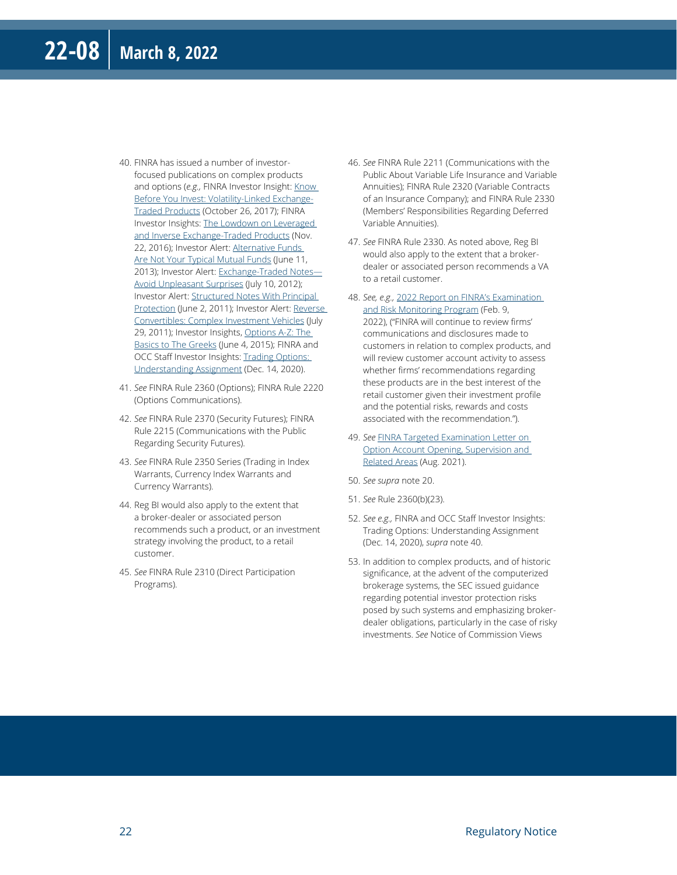- 40. FINRA has issued a number of investorfocused publications on complex products and options (e.g., FINRA Investor Insight: Know [Before You Invest: Volatility-Linked Exchange-](https://www.finra.org/investors/insights/volatility-linked-exchange-traded-products)[Traded Products](https://www.finra.org/investors/insights/volatility-linked-exchange-traded-products) (October 26, 2017); FINRA Investor Insights: [The Lowdown on Leveraged](https://www.finra.org/investors/insights/lowdown-leveraged-and-inverse-exchange-traded-products)  [and Inverse Exchange-Traded Products](https://www.finra.org/investors/insights/lowdown-leveraged-and-inverse-exchange-traded-products) (Nov. 22, 2016); Investor Alert: [Alternative Funds](https://www.finra.org/investors/alerts/alternative-funds-are-not-your-typical-mutual-funds)  [Are Not Your Typical Mutual Funds](https://www.finra.org/investors/alerts/alternative-funds-are-not-your-typical-mutual-funds) (June 11, 2013); Investor Alert: [Exchange-Traded Notes—](https://www.finra.org/investors/alerts/exchange-traded-notes-avoid-unpleasant-surprises) [Avoid Unpleasant Surprises](https://www.finra.org/investors/alerts/exchange-traded-notes-avoid-unpleasant-surprises) (July 10, 2012); Investor Alert: [Structured Notes With Principal](https://www.finra.org/investors/alerts/structured-notes-principal-protection-note-terms-your-investment)  [Protection](https://www.finra.org/investors/alerts/structured-notes-principal-protection-note-terms-your-investment) (June 2, 2011); Investor Alert: [Reverse](https://www.finra.org/investors/alerts/reverse-convertibles-complex-investment-vehicles)  [Convertibles: Complex Investment Vehicles](https://www.finra.org/investors/alerts/reverse-convertibles-complex-investment-vehicles) (July 29, 2011); Investor Insights, [Options A-Z: The](https://www.finra.org/investors/insights/options-z-basics-greeks)  [Basics to The Greeks](https://www.finra.org/investors/insights/options-z-basics-greeks) (June 4, 2015); FINRA and OCC Staff Investor Insights: Trading Options: [Understanding Assignment](https://www.finra.org/investors/insights/trading-options-understanding-assignment) (Dec. 14, 2020).
- 41. *See* FINRA Rule 2360 (Options); FINRA Rule 2220 (Options Communications).
- 42. *See* FINRA Rule 2370 (Security Futures); FINRA Rule 2215 (Communications with the Public Regarding Security Futures).
- 43. *See* FINRA Rule 2350 Series (Trading in Index Warrants, Currency Index Warrants and Currency Warrants).
- 44. Reg BI would also apply to the extent that a broker-dealer or associated person recommends such a product, or an investment strategy involving the product, to a retail customer.
- 45. *See* FINRA Rule 2310 (Direct Participation Programs).
- 46. *See* FINRA Rule 2211 (Communications with the Public About Variable Life Insurance and Variable Annuities); FINRA Rule 2320 (Variable Contracts of an Insurance Company); and FINRA Rule 2330 (Members' Responsibilities Regarding Deferred Variable Annuities).
- 47. *See* FINRA Rule 2330. As noted above, Reg BI would also apply to the extent that a brokerdealer or associated person recommends a VA to a retail customer.
- 48. *See, e.g.,* [2022 Report on FINRA's Examination](https://www.finra.org/rules-guidance/guidance/reports/2022-finras-examination-and-risk-monitoring-program)  [and Risk Monitoring Program](https://www.finra.org/rules-guidance/guidance/reports/2022-finras-examination-and-risk-monitoring-program) (Feb. 9, 2022), ("FINRA will continue to review firms' communications and disclosures made to customers in relation to complex products, and will review customer account activity to assess whether firms' recommendations regarding these products are in the best interest of the retail customer given their investment profile and the potential risks, rewards and costs associated with the recommendation.").
- 49. *See* [FINRA Targeted Examination Letter on](https://www.finra.org/rules-guidance/guidance/targeted-examination-letters/targeted-examination-letter-option-account-opening-and-supervision)  [Option Account Opening, Supervision and](https://www.finra.org/rules-guidance/guidance/targeted-examination-letters/targeted-examination-letter-option-account-opening-and-supervision)  [Related Areas](https://www.finra.org/rules-guidance/guidance/targeted-examination-letters/targeted-examination-letter-option-account-opening-and-supervision) (Aug. 2021).
- 50. *See supra* note 20.
- 51. *See* Rule 2360(b)(23).
- 52. *See e.g.,* FINRA and OCC Staff Investor Insights: Trading Options: Understanding Assignment (Dec. 14, 2020), *supra* note 40.
- 53. In addition to complex products, and of historic significance, at the advent of the computerized brokerage systems, the SEC issued guidance regarding potential investor protection risks posed by such systems and emphasizing brokerdealer obligations, particularly in the case of risky investments. *See* Notice of Commission Views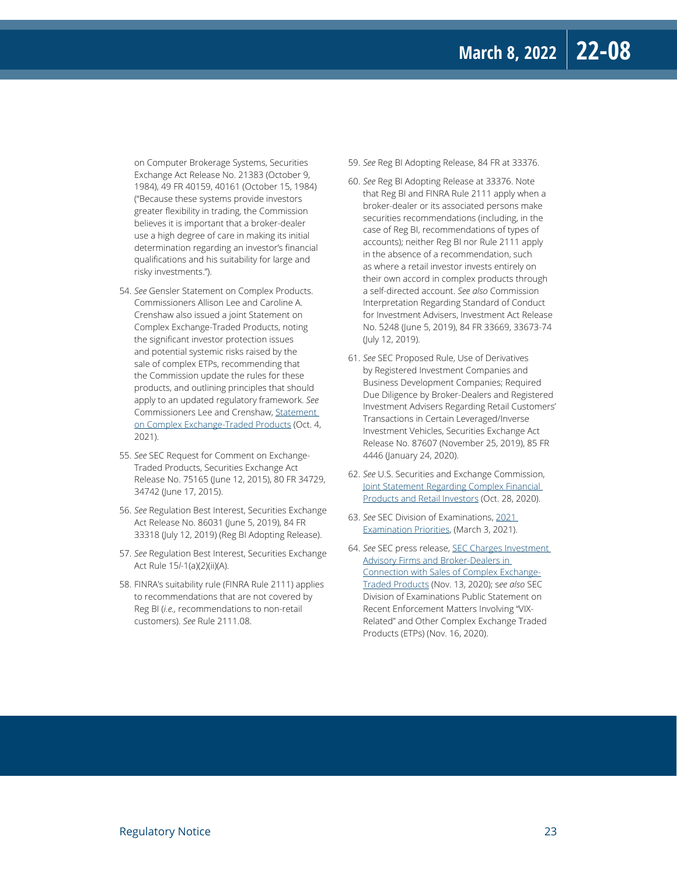on Computer Brokerage Systems, Securities Exchange Act Release No. 21383 (October 9, 1984), 49 FR 40159, 40161 (October 15, 1984) ("Because these systems provide investors greater flexibility in trading, the Commission believes it is important that a broker-dealer use a high degree of care in making its initial determination regarding an investor's financial qualifications and his suitability for large and risky investments.").

- 54. *See* Gensler Statement on Complex Products. Commissioners Allison Lee and Caroline A. Crenshaw also issued a joint Statement on Complex Exchange-Traded Products, noting the significant investor protection issues and potential systemic risks raised by the sale of complex ETPs, recommending that the Commission update the rules for these products, and outlining principles that should apply to an updated regulatory framework. *See* Commissioners Lee and Crenshaw, [Statement](https://www.sec.gov/news/public-statement/lee-crenshaw-statement-complex-exchange-traded-products-100421)  [on Complex Exchange-Traded Products](https://www.sec.gov/news/public-statement/lee-crenshaw-statement-complex-exchange-traded-products-100421) (Oct. 4, 2021).
- 55. *See* SEC Request for Comment on Exchange-Traded Products, Securities Exchange Act Release No. 75165 (June 12, 2015), 80 FR 34729, 34742 (June 17, 2015).
- 56. *See* Regulation Best Interest, Securities Exchange Act Release No. 86031 (June 5, 2019), 84 FR 33318 (July 12, 2019) (Reg BI Adopting Release).
- 57. *See* Regulation Best Interest, Securities Exchange Act Rule 15*l*-1(a)(2)(ii)(A).
- 58. FINRA's suitability rule (FINRA Rule 2111) applies to recommendations that are not covered by Reg BI (*i.e.,* recommendations to non-retail customers). *See* Rule 2111.08.
- 59. *See* Reg BI Adopting Release, 84 FR at 33376.
- 60. *See* Reg BI Adopting Release at 33376. Note that Reg BI and FINRA Rule 2111 apply when a broker-dealer or its associated persons make securities recommendations (including, in the case of Reg BI, recommendations of types of accounts); neither Reg BI nor Rule 2111 apply in the absence of a recommendation, such as where a retail investor invests entirely on their own accord in complex products through a self-directed account. *See also* Commission Interpretation Regarding Standard of Conduct for Investment Advisers, Investment Act Release No. 5248 (June 5, 2019), 84 FR 33669, 33673-74 (July 12, 2019).
- 61. *See* SEC Proposed Rule, Use of Derivatives by Registered Investment Companies and Business Development Companies; Required Due Diligence by Broker-Dealers and Registered Investment Advisers Regarding Retail Customers' Transactions in Certain Leveraged/Inverse Investment Vehicles, Securities Exchange Act Release No. 87607 (November 25, 2019), 85 FR 4446 (January 24, 2020).
- 62. *See* U.S. Securities and Exchange Commission, [Joint Statement Regarding Complex Financial](https://www.sec.gov/news/public-statement/clayton-blass-hinman-redfearn-complex-financial-products-2020-10-28)  [Products and Retail Investors](https://www.sec.gov/news/public-statement/clayton-blass-hinman-redfearn-complex-financial-products-2020-10-28) (Oct. 28, 2020).
- 63. *See* SEC Division of Examinations, [2021](https://www.sec.gov/files/2021-exam-priorities.pdf)  [Examination Priorities,](https://www.sec.gov/files/2021-exam-priorities.pdf) (March 3, 2021).
- 64. *See* SEC press release, [SEC Charges Investment](https://www.sec.gov/news/press-release/2020-282)  **Advisory Firms and Broker-Dealers in** [Connection with Sales of Complex Exchange-](https://www.sec.gov/news/press-release/2020-282)[Traded Products](https://www.sec.gov/news/press-release/2020-282) (Nov. 13, 2020); s*ee also* SEC Division of Examinations [Public Statement](https://www.sec.gov/news/public-statement/ocie-vix-matters-2020-11-16) on Recent Enforcement Matters Involving "VIX-Related" and Other Complex Exchange Traded Products (ETPs) (Nov. 16, 2020).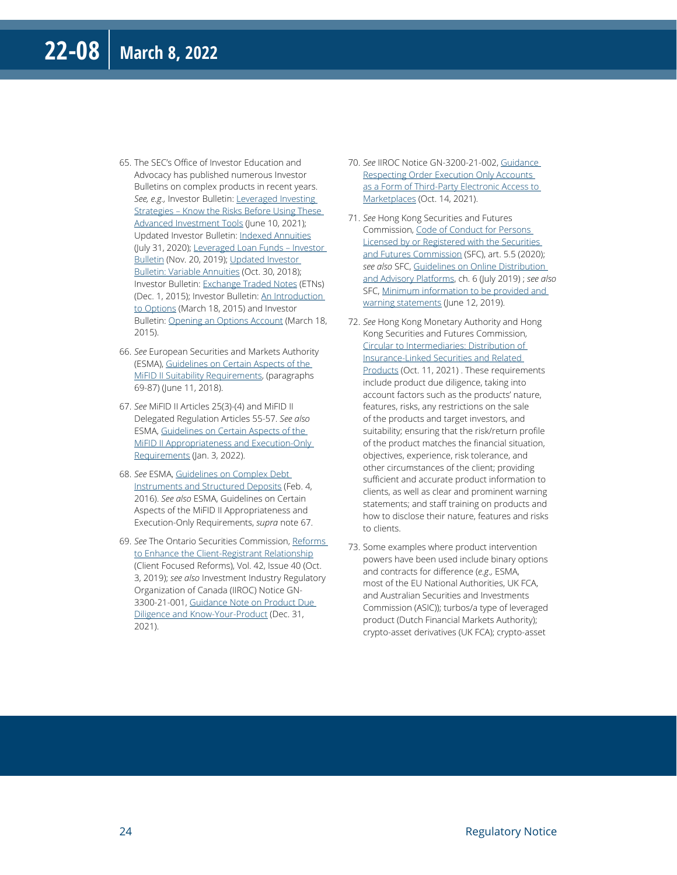- 65. The SEC's Office of Investor Education and Advocacy has published numerous Investor Bulletins on complex products in recent years. *See, e.g.,* Investor Bulletin: [Leveraged Investing](https://www.sec.gov/oiea/investor-alerts-and-bulletins/ib_leveragedinvesting)  [Strategies – Know the Risks Before Using These](https://www.sec.gov/oiea/investor-alerts-and-bulletins/ib_leveragedinvesting)  [Advanced Investment Tools](https://www.sec.gov/oiea/investor-alerts-and-bulletins/ib_leveragedinvesting) (June 10, 2021); Updated Investor Bulletin: [Indexed Annuities](https://www.sec.gov/oiea/investor-alerts-and-bulletins/ib_indexedannuities) (July 31, 2020); [Leveraged Loan Funds – Investor](https://www.sec.gov/oiea/investor-alerts-and-bulletins/leveraged-loan-funds-investor-bulletin)  [Bulletin](https://www.sec.gov/oiea/investor-alerts-and-bulletins/leveraged-loan-funds-investor-bulletin) (Nov. 20, 2019); [Updated Investor](https://www.sec.gov/oiea/investor-alerts-and-bulletins/ib_variableannuities)  [Bulletin: Variable Annuities](https://www.sec.gov/oiea/investor-alerts-and-bulletins/ib_variableannuities) (Oct. 30, 2018); Investor Bulletin: [Exchange Traded Notes](https://www.investor.gov/introduction-investing/general-resources/news-alerts/alerts-bulletins/investor-bulletins-50) (ETNs) (Dec. 1, 2015); Investor Bulletin: [An Introduction](https://www.investor.gov/introduction-investing/general-resources/news-alerts/alerts-bulletins/investor-bulletins-63)  [to Options](https://www.investor.gov/introduction-investing/general-resources/news-alerts/alerts-bulletins/investor-bulletins-63) (March 18, 2015) and Investor Bulletin: [Opening an Options Account](https://www.investor.gov/introduction-investing/general-resources/news-alerts/alerts-bulletins/investor-bulletins-77) (March 18, 2015).
- 66. *See* European Securities and Markets Authority (ESMA), [Guidelines on Certain Aspects of the](https://www.esma.europa.eu/sites/default/files/library/esma35-43-1163_guidelines_on_certain_aspects_of_mifid_ii_suitability_requirements_0.pdf)  [MiFID II Suitability Requirements](https://www.esma.europa.eu/sites/default/files/library/esma35-43-1163_guidelines_on_certain_aspects_of_mifid_ii_suitability_requirements_0.pdf), (paragraphs 69-87) (June 11, 2018).
- 67. *See* MiFID II Articles 25(3)-(4) and MiFID II Delegated Regulation Articles 55-57. *See also* ESMA, [Guidelines on Certain Aspects of the](file:///C:\Users\K25219\AppData\Local\Microsoft\Windows\INetCache\Content.Outlook\FG1FI2C5\Guidelines%20on%20Certain%20Aspects%20of%20the%20MiFID%20II%20Appropriateness%20and%20Execution-Only%20Requirements)  [MiFID II Appropriateness and Execution-Only](file:///C:\Users\K25219\AppData\Local\Microsoft\Windows\INetCache\Content.Outlook\FG1FI2C5\Guidelines%20on%20Certain%20Aspects%20of%20the%20MiFID%20II%20Appropriateness%20and%20Execution-Only%20Requirements)  [Requirements](file:///C:\Users\K25219\AppData\Local\Microsoft\Windows\INetCache\Content.Outlook\FG1FI2C5\Guidelines%20on%20Certain%20Aspects%20of%20the%20MiFID%20II%20Appropriateness%20and%20Execution-Only%20Requirements) (Jan. 3, 2022).
- 68. *See* ESMA, [Guidelines on Complex Debt](https://www.esma.europa.eu/sites/default/files/library/2015-1787_-_guidelines_on_complex_debt_instruments_and_structured_deposits.pdf)  [Instruments and Structured Deposits](https://www.esma.europa.eu/sites/default/files/library/2015-1787_-_guidelines_on_complex_debt_instruments_and_structured_deposits.pdf) (Feb. 4, 2016). *See also* ESMA, Guidelines on Certain Aspects of the MiFID II Appropriateness and Execution-Only Requirements, *supra* note 67.
- 69. *See* The Ontario Securities Commission, [Reforms](https://www.osc.ca/sites/default/files/pdfs/irps/ni_20191003_31-103_reforms-enhance-client-registrant-relationship.pdf)  [to Enhance the Client-Registrant Relationship](https://www.osc.ca/sites/default/files/pdfs/irps/ni_20191003_31-103_reforms-enhance-client-registrant-relationship.pdf) (Client Focused Reforms), Vol. 42, Issue 40 (Oct. 3, 2019); *see also* Investment Industry Regulatory Organization of Canada (IIROC) Notice GN-3300-21-001, [Guidance Note on Product Due](https://www.iiroc.ca/sites/default/files/2021-08/Appendix%203-Product%20Due%20Diligence%20and%20Know%20Your%20Product%20guidance.pdf)  [Diligence and Know-Your-Product](https://www.iiroc.ca/sites/default/files/2021-08/Appendix%203-Product%20Due%20Diligence%20and%20Know%20Your%20Product%20guidance.pdf) (Dec. 31, 2021).
- 70. *See* IIROC Notice GN-3200-21-002, [Guidance](https://www.iiroc.ca/news-and-publications/notices-and-guidance/guidance-respecting-order-execution-only-accounts-form-third-party-electronic-access-marketplaces)  [Respecting Order Execution Only Accounts](https://www.iiroc.ca/news-and-publications/notices-and-guidance/guidance-respecting-order-execution-only-accounts-form-third-party-electronic-access-marketplaces)  [as a Form of Third-Party Electronic Access to](https://www.iiroc.ca/news-and-publications/notices-and-guidance/guidance-respecting-order-execution-only-accounts-form-third-party-electronic-access-marketplaces)  [Marketplaces](https://www.iiroc.ca/news-and-publications/notices-and-guidance/guidance-respecting-order-execution-only-accounts-form-third-party-electronic-access-marketplaces) (Oct. 14, 2021).
- 71. *See* Hong Kong Securities and Futures Commission, [Code of Conduct for Persons](https://www.sfc.hk/-/media/EN/assets/components/codes/files-current/web/codes/code-of-conduct-for-persons-licensed-by-or-registered-with-the-securities-and-futures-commission/Code_of_conduct-Dec-2020_Eng.pdf)  [Licensed by or Registered with the Securities](https://www.sfc.hk/-/media/EN/assets/components/codes/files-current/web/codes/code-of-conduct-for-persons-licensed-by-or-registered-with-the-securities-and-futures-commission/Code_of_conduct-Dec-2020_Eng.pdf)  [and Futures Commission](https://www.sfc.hk/-/media/EN/assets/components/codes/files-current/web/codes/code-of-conduct-for-persons-licensed-by-or-registered-with-the-securities-and-futures-commission/Code_of_conduct-Dec-2020_Eng.pdf) (SFC), art. 5.5 (2020); *see also* SFC, [Guidelines on Online Distribution](https://www.sfc.hk/-/media/EN/assets/components/codes/files-current/web/guidelines/guidelines-on-online-distribution-and-advisory-platforms/guidelines-on-online-distribution-and-advisory-platforms.pdf)  [and Advisory Platforms](https://www.sfc.hk/-/media/EN/assets/components/codes/files-current/web/guidelines/guidelines-on-online-distribution-and-advisory-platforms/guidelines-on-online-distribution-and-advisory-platforms.pdf), ch. 6 (July 2019) ; *see also* SFC, Minimum information to be provided and [warning statements](https://www.sfc.hk/en/Rules-and-standards/Suitability-requirement/Non-complex-and-complex-products/Minimum-information-to-be-provided-and-warning-statements) (June 12, 2019).
- 72. *See* Hong Kong Monetary Authority and Hong Kong Securities and Futures Commission, [Circular to Intermediaries: Distribution of](https://apps.sfc.hk/edistributionWeb/api/circular/openFile?lang=EN&refNo=21EC42)  [Insurance-Linked Securities and Related](https://apps.sfc.hk/edistributionWeb/api/circular/openFile?lang=EN&refNo=21EC42)  [Products](https://apps.sfc.hk/edistributionWeb/api/circular/openFile?lang=EN&refNo=21EC42) (Oct. 11, 2021) . These requirements include product due diligence, taking into account factors such as the products' nature, features, risks, any restrictions on the sale of the products and target investors, and suitability; ensuring that the risk/return profile of the product matches the financial situation, objectives, experience, risk tolerance, and other circumstances of the client; providing sufficient and accurate product information to clients, as well as clear and prominent warning statements; and staff training on products and how to disclose their nature, features and risks to clients.
- 73. Some examples where product intervention powers have been used include binary options and contracts for difference (*e.g.,* ESMA, most of the EU National Authorities, UK FCA, and Australian Securities and Investments Commission (ASIC)); turbos/a type of leveraged product (Dutch Financial Markets Authority); crypto-asset derivatives (UK FCA); crypto-asset